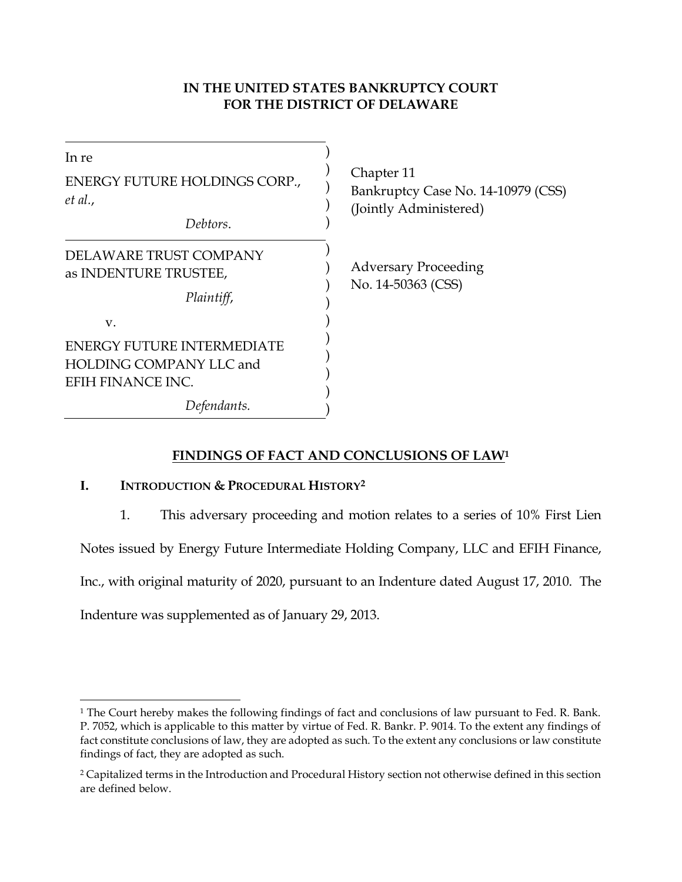# **IN THE UNITED STATES BANKRUPTCY COURT FOR THE DISTRICT OF DELAWARE**

| In re<br>ENERGY FUTURE HOLDINGS CORP.,<br>et al.,                                              | Chapter 11<br>Bankruptcy Case No. 14-10979 (CSS)<br>(Jointly Administered) |
|------------------------------------------------------------------------------------------------|----------------------------------------------------------------------------|
| Debtors.                                                                                       |                                                                            |
| DELAWARE TRUST COMPANY<br>as INDENTURE TRUSTEE,<br>Plaintiff,                                  | <b>Adversary Proceeding</b><br>No. 14-50363 (CSS)                          |
| V.<br><b>ENERGY FUTURE INTERMEDIATE</b><br><b>HOLDING COMPANY LLC and</b><br>EFIH FINANCE INC. |                                                                            |
| Defendants.                                                                                    |                                                                            |

# **FINDINGS OF FACT AND CONCLUSIONS OF LAW<sup>1</sup>**

# **I. INTRODUCTION & PROCEDURAL HISTORY<sup>2</sup>**

1. This adversary proceeding and motion relates to a series of 10% First Lien

Notes issued by Energy Future Intermediate Holding Company, LLC and EFIH Finance,

Inc., with original maturity of 2020, pursuant to an Indenture dated August 17, 2010. The

Indenture was supplemented as of January 29, 2013.

 $\overline{\phantom{a}}$ 

<sup>&</sup>lt;sup>1</sup> The Court hereby makes the following findings of fact and conclusions of law pursuant to Fed. R. Bank. P. 7052, which is applicable to this matter by virtue of Fed. R. Bankr. P. 9014. To the extent any findings of fact constitute conclusions of law, they are adopted as such. To the extent any conclusions or law constitute findings of fact, they are adopted as such.

<sup>2</sup> Capitalized terms in the Introduction and Procedural History section not otherwise defined in this section are defined below.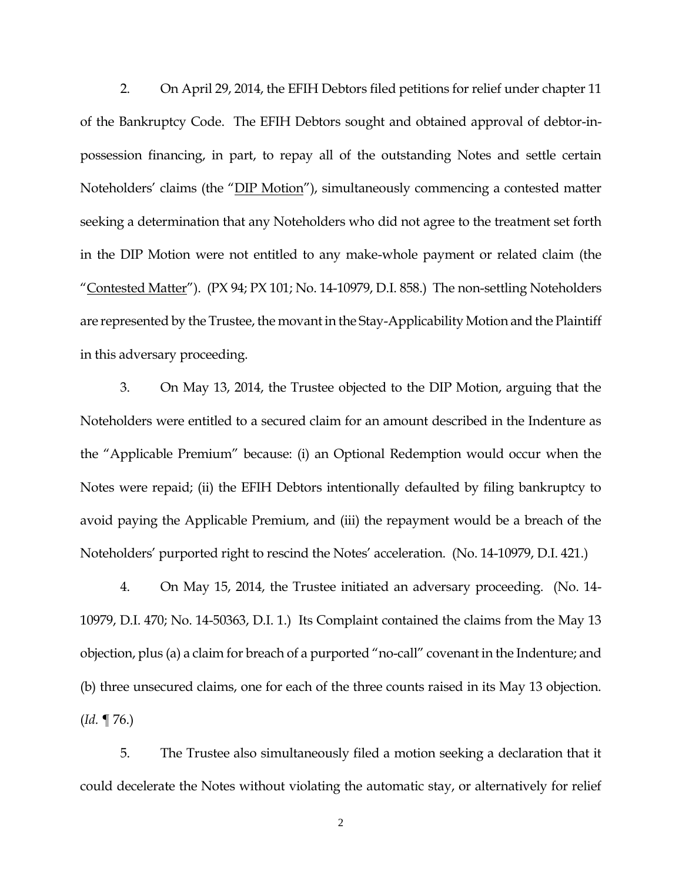2. On April 29, 2014, the EFIH Debtors filed petitions for relief under chapter 11 of the Bankruptcy Code. The EFIH Debtors sought and obtained approval of debtor-inpossession financing, in part, to repay all of the outstanding Notes and settle certain Noteholders' claims (the "DIP Motion"), simultaneously commencing a contested matter seeking a determination that any Noteholders who did not agree to the treatment set forth in the DIP Motion were not entitled to any make-whole payment or related claim (the "Contested Matter"). (PX 94; PX 101; No. 14-10979, D.I. 858.) The non-settling Noteholders are represented by the Trustee, the movant in the Stay-Applicability Motion and the Plaintiff in this adversary proceeding.

3. On May 13, 2014, the Trustee objected to the DIP Motion, arguing that the Noteholders were entitled to a secured claim for an amount described in the Indenture as the "Applicable Premium" because: (i) an Optional Redemption would occur when the Notes were repaid; (ii) the EFIH Debtors intentionally defaulted by filing bankruptcy to avoid paying the Applicable Premium, and (iii) the repayment would be a breach of the Noteholders' purported right to rescind the Notes' acceleration. (No. 14-10979, D.I. 421.)

4. On May 15, 2014, the Trustee initiated an adversary proceeding. (No. 14- 10979, D.I. 470; No. 14-50363, D.I. 1.) Its Complaint contained the claims from the May 13 objection, plus (a) a claim for breach of a purported "no-call" covenant in the Indenture; and (b) three unsecured claims, one for each of the three counts raised in its May 13 objection. (*Id.* ¶ 76.)

5. The Trustee also simultaneously filed a motion seeking a declaration that it could decelerate the Notes without violating the automatic stay, or alternatively for relief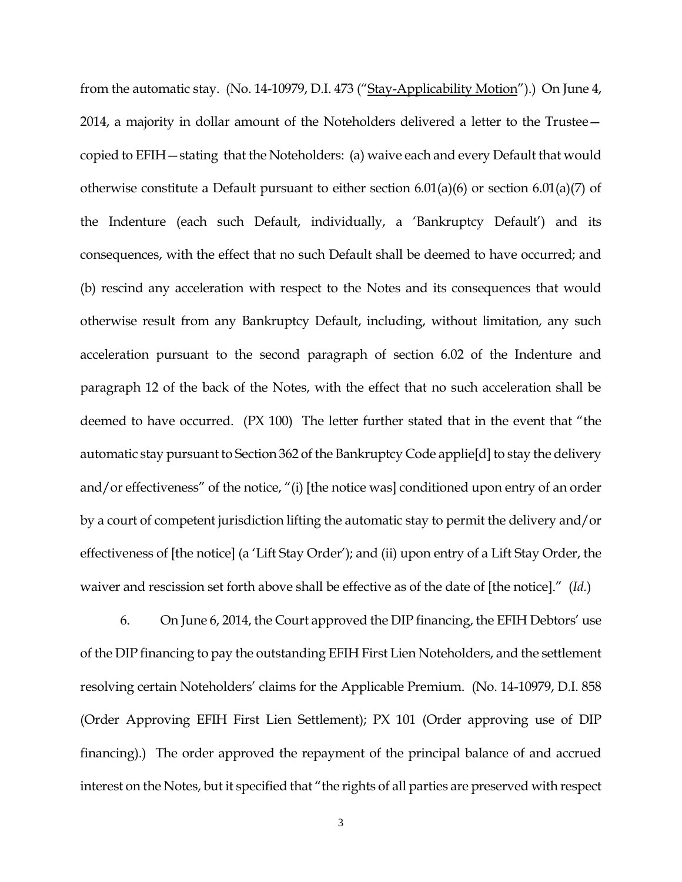from the automatic stay. (No. 14-10979, D.I. 473 ("Stay-Applicability Motion").) On June 4, 2014, a majority in dollar amount of the Noteholders delivered a letter to the Trustee copied to EFIH—stating that the Noteholders: (a) waive each and every Default that would otherwise constitute a Default pursuant to either section 6.01(a)(6) or section 6.01(a)(7) of the Indenture (each such Default, individually, a 'Bankruptcy Default') and its consequences, with the effect that no such Default shall be deemed to have occurred; and (b) rescind any acceleration with respect to the Notes and its consequences that would otherwise result from any Bankruptcy Default, including, without limitation, any such acceleration pursuant to the second paragraph of section 6.02 of the Indenture and paragraph 12 of the back of the Notes, with the effect that no such acceleration shall be deemed to have occurred. (PX 100) The letter further stated that in the event that "the automatic stay pursuant to Section 362 of the Bankruptcy Code applie[d] to stay the delivery and/or effectiveness" of the notice, "(i) [the notice was] conditioned upon entry of an order by a court of competent jurisdiction lifting the automatic stay to permit the delivery and/or effectiveness of [the notice] (a 'Lift Stay Order'); and (ii) upon entry of a Lift Stay Order, the waiver and rescission set forth above shall be effective as of the date of [the notice]." (*Id.*)

6. On June 6, 2014, the Court approved the DIP financing, the EFIH Debtors' use of the DIP financing to pay the outstanding EFIH First Lien Noteholders, and the settlement resolving certain Noteholders' claims for the Applicable Premium. (No. 14-10979, D.I. 858 (Order Approving EFIH First Lien Settlement); PX 101 (Order approving use of DIP financing).) The order approved the repayment of the principal balance of and accrued interest on the Notes, but it specified that "the rights of all parties are preserved with respect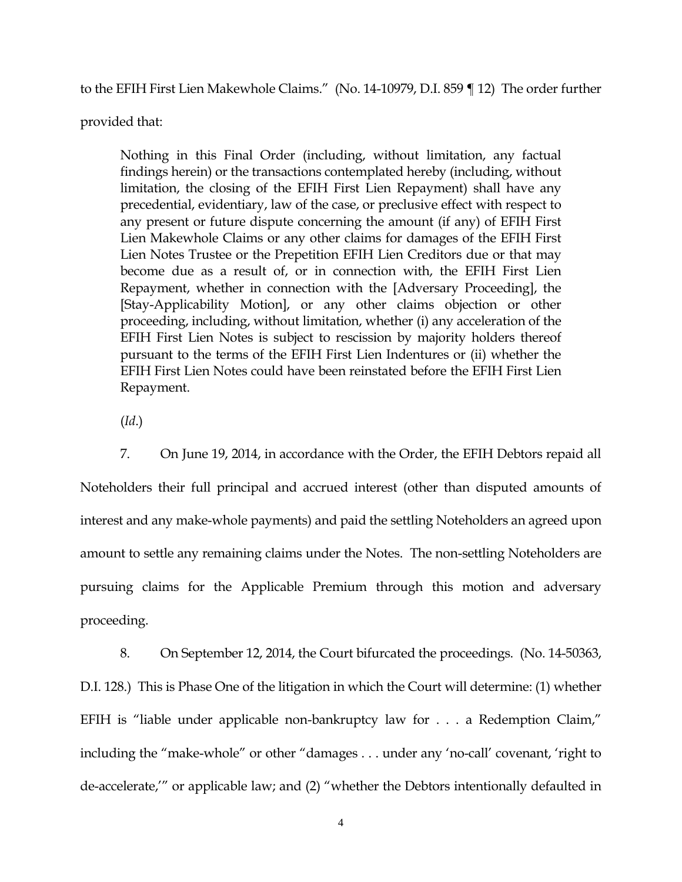to the EFIH First Lien Makewhole Claims." (No. 14-10979, D.I. 859 ¶ 12) The order further

provided that:

Nothing in this Final Order (including, without limitation, any factual findings herein) or the transactions contemplated hereby (including, without limitation, the closing of the EFIH First Lien Repayment) shall have any precedential, evidentiary, law of the case, or preclusive effect with respect to any present or future dispute concerning the amount (if any) of EFIH First Lien Makewhole Claims or any other claims for damages of the EFIH First Lien Notes Trustee or the Prepetition EFIH Lien Creditors due or that may become due as a result of, or in connection with, the EFIH First Lien Repayment, whether in connection with the [Adversary Proceeding], the [Stay-Applicability Motion], or any other claims objection or other proceeding, including, without limitation, whether (i) any acceleration of the EFIH First Lien Notes is subject to rescission by majority holders thereof pursuant to the terms of the EFIH First Lien Indentures or (ii) whether the EFIH First Lien Notes could have been reinstated before the EFIH First Lien Repayment.

(*Id*.)

7. On June 19, 2014, in accordance with the Order, the EFIH Debtors repaid all Noteholders their full principal and accrued interest (other than disputed amounts of interest and any make-whole payments) and paid the settling Noteholders an agreed upon amount to settle any remaining claims under the Notes. The non-settling Noteholders are pursuing claims for the Applicable Premium through this motion and adversary proceeding.

8. On September 12, 2014, the Court bifurcated the proceedings. (No. 14-50363, D.I. 128.) This is Phase One of the litigation in which the Court will determine: (1) whether EFIH is "liable under applicable non-bankruptcy law for . . . a Redemption Claim," including the "make-whole" or other "damages . . . under any 'no-call' covenant, 'right to de-accelerate,'" or applicable law; and (2) "whether the Debtors intentionally defaulted in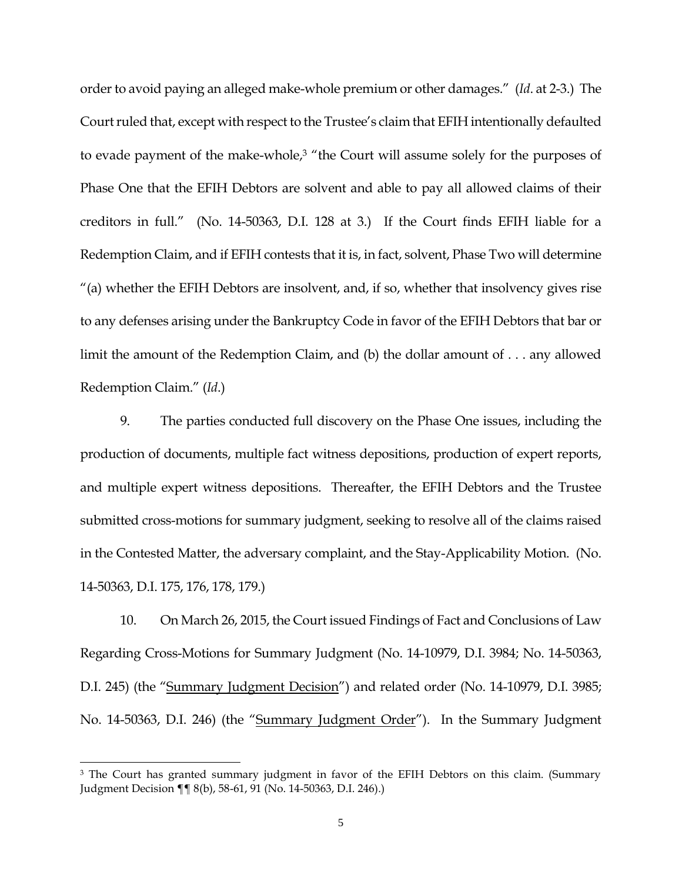order to avoid paying an alleged make-whole premium or other damages." (*Id*. at 2-3.) The Court ruled that, except with respect to the Trustee's claim that EFIH intentionally defaulted to evade payment of the make-whole,<sup>3</sup> "the Court will assume solely for the purposes of Phase One that the EFIH Debtors are solvent and able to pay all allowed claims of their creditors in full." (No. 14-50363, D.I. 128 at 3.) If the Court finds EFIH liable for a Redemption Claim, and if EFIH contests that it is, in fact, solvent, Phase Two will determine "(a) whether the EFIH Debtors are insolvent, and, if so, whether that insolvency gives rise to any defenses arising under the Bankruptcy Code in favor of the EFIH Debtors that bar or limit the amount of the Redemption Claim, and (b) the dollar amount of . . . any allowed Redemption Claim." (*Id*.)

9. The parties conducted full discovery on the Phase One issues, including the production of documents, multiple fact witness depositions, production of expert reports, and multiple expert witness depositions. Thereafter, the EFIH Debtors and the Trustee submitted cross-motions for summary judgment, seeking to resolve all of the claims raised in the Contested Matter, the adversary complaint, and the Stay-Applicability Motion. (No. 14-50363, D.I. 175, 176, 178, 179.)

10. On March 26, 2015, the Court issued Findings of Fact and Conclusions of Law Regarding Cross-Motions for Summary Judgment (No. 14-10979, D.I. 3984; No. 14-50363, D.I. 245) (the "Summary Judgment Decision") and related order (No. 14-10979, D.I. 3985; No. 14-50363, D.I. 246) (the "Summary Judgment Order"). In the Summary Judgment

 $\overline{\phantom{a}}$ 

<sup>&</sup>lt;sup>3</sup> The Court has granted summary judgment in favor of the EFIH Debtors on this claim. (Summary Judgment Decision ¶¶ 8(b), 58-61, 91 (No. 14-50363, D.I. 246).)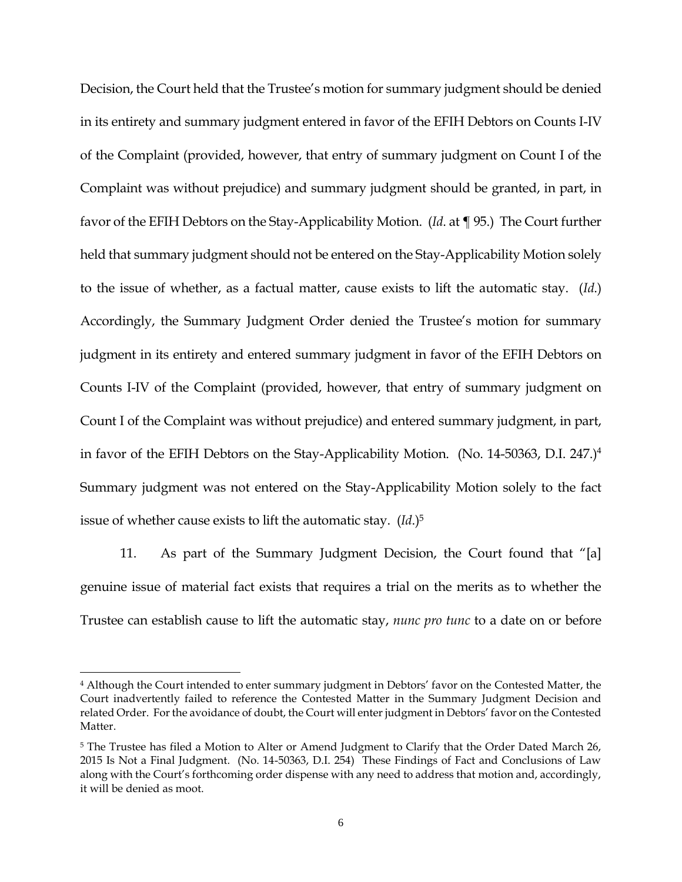Decision, the Court held that the Trustee's motion for summary judgment should be denied in its entirety and summary judgment entered in favor of the EFIH Debtors on Counts I-IV of the Complaint (provided, however, that entry of summary judgment on Count I of the Complaint was without prejudice) and summary judgment should be granted, in part, in favor of the EFIH Debtors on the Stay-Applicability Motion. (*Id*. at ¶ 95.) The Court further held that summary judgment should not be entered on the Stay-Applicability Motion solely to the issue of whether, as a factual matter, cause exists to lift the automatic stay. (*Id*.) Accordingly, the Summary Judgment Order denied the Trustee's motion for summary judgment in its entirety and entered summary judgment in favor of the EFIH Debtors on Counts I-IV of the Complaint (provided, however, that entry of summary judgment on Count I of the Complaint was without prejudice) and entered summary judgment, in part, in favor of the EFIH Debtors on the Stay-Applicability Motion. (No. 14-50363, D.I. 247.)<sup>4</sup> Summary judgment was not entered on the Stay-Applicability Motion solely to the fact issue of whether cause exists to lift the automatic stay. (*Id*.)<sup>5</sup>

11. As part of the Summary Judgment Decision, the Court found that "[a] genuine issue of material fact exists that requires a trial on the merits as to whether the Trustee can establish cause to lift the automatic stay, *nunc pro tunc* to a date on or before

l

<sup>4</sup> Although the Court intended to enter summary judgment in Debtors' favor on the Contested Matter, the Court inadvertently failed to reference the Contested Matter in the Summary Judgment Decision and related Order. For the avoidance of doubt, the Court will enter judgment in Debtors' favor on the Contested Matter.

<sup>&</sup>lt;sup>5</sup> The Trustee has filed a Motion to Alter or Amend Judgment to Clarify that the Order Dated March 26, 2015 Is Not a Final Judgment. (No. 14-50363, D.I. 254) These Findings of Fact and Conclusions of Law along with the Court's forthcoming order dispense with any need to address that motion and, accordingly, it will be denied as moot.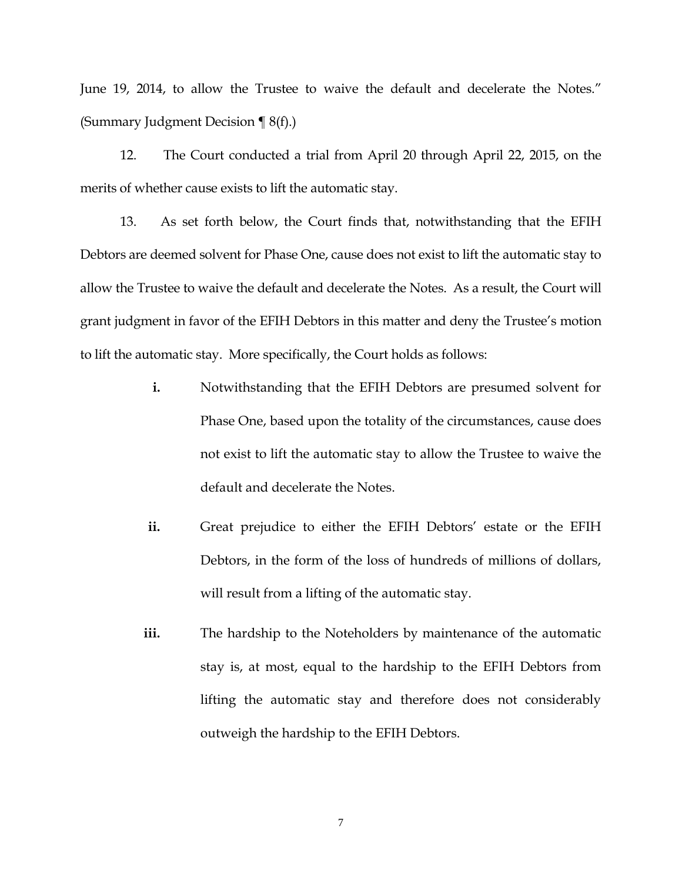June 19, 2014, to allow the Trustee to waive the default and decelerate the Notes." (Summary Judgment Decision  $\P$  8(f).)

12. The Court conducted a trial from April 20 through April 22, 2015, on the merits of whether cause exists to lift the automatic stay.

13. As set forth below, the Court finds that, notwithstanding that the EFIH Debtors are deemed solvent for Phase One, cause does not exist to lift the automatic stay to allow the Trustee to waive the default and decelerate the Notes. As a result, the Court will grant judgment in favor of the EFIH Debtors in this matter and deny the Trustee's motion to lift the automatic stay. More specifically, the Court holds as follows:

- **i.** Notwithstanding that the EFIH Debtors are presumed solvent for Phase One, based upon the totality of the circumstances, cause does not exist to lift the automatic stay to allow the Trustee to waive the default and decelerate the Notes.
- **ii.** Great prejudice to either the EFIH Debtors' estate or the EFIH Debtors, in the form of the loss of hundreds of millions of dollars, will result from a lifting of the automatic stay.
- **iii.** The hardship to the Noteholders by maintenance of the automatic stay is, at most, equal to the hardship to the EFIH Debtors from lifting the automatic stay and therefore does not considerably outweigh the hardship to the EFIH Debtors.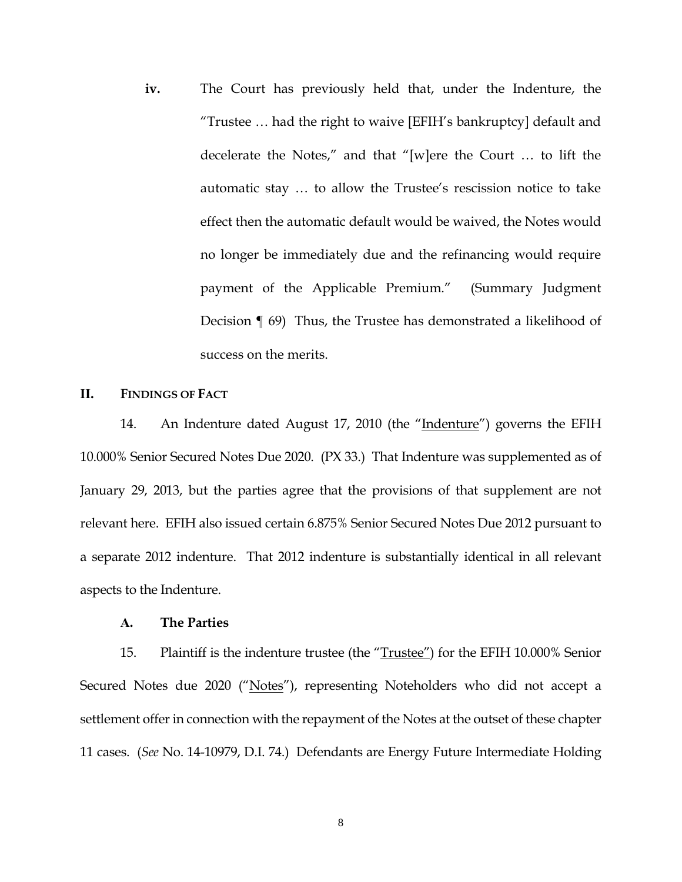**iv.** The Court has previously held that, under the Indenture, the "Trustee … had the right to waive [EFIH's bankruptcy] default and decelerate the Notes," and that "[w]ere the Court … to lift the automatic stay … to allow the Trustee's rescission notice to take effect then the automatic default would be waived, the Notes would no longer be immediately due and the refinancing would require payment of the Applicable Premium." (Summary Judgment Decision ¶ 69) Thus, the Trustee has demonstrated a likelihood of success on the merits.

# **II. FINDINGS OF FACT**

14. An Indenture dated August 17, 2010 (the "Indenture") governs the EFIH 10.000% Senior Secured Notes Due 2020. (PX 33.) That Indenture was supplemented as of January 29, 2013, but the parties agree that the provisions of that supplement are not relevant here. EFIH also issued certain 6.875% Senior Secured Notes Due 2012 pursuant to a separate 2012 indenture. That 2012 indenture is substantially identical in all relevant aspects to the Indenture.

#### **A. The Parties**

15. Plaintiff is the indenture trustee (the "Trustee") for the EFIH 10.000% Senior Secured Notes due 2020 ("Notes"), representing Noteholders who did not accept a settlement offer in connection with the repayment of the Notes at the outset of these chapter 11 cases. (*See* No. 14-10979, D.I. 74.) Defendants are Energy Future Intermediate Holding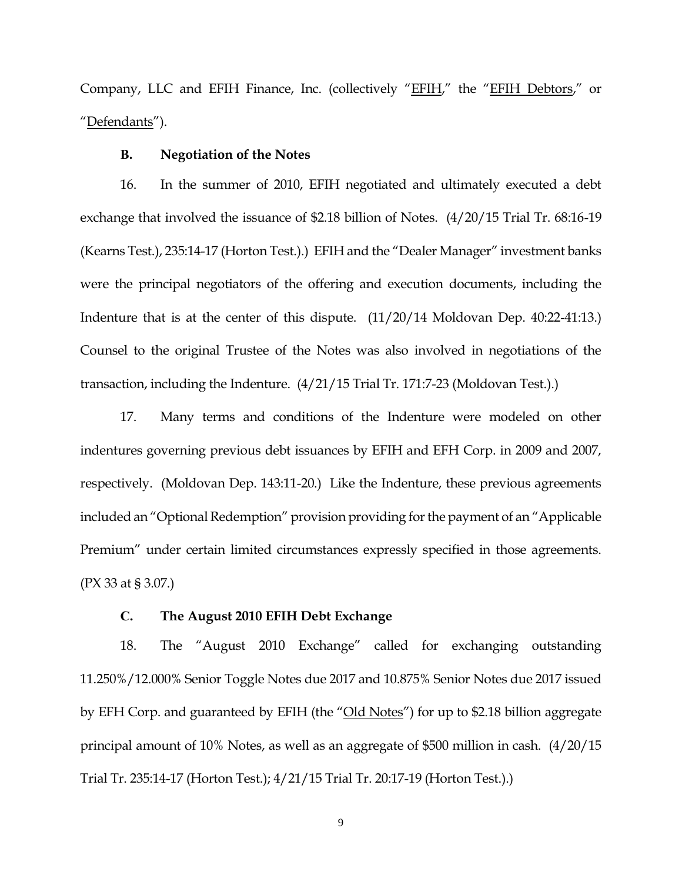Company, LLC and EFIH Finance, Inc. (collectively "EFIH," the "EFIH Debtors," or "Defendants").

#### **B. Negotiation of the Notes**

16. In the summer of 2010, EFIH negotiated and ultimately executed a debt exchange that involved the issuance of \$2.18 billion of Notes. (4/20/15 Trial Tr. 68:16-19 (Kearns Test.), 235:14-17 (Horton Test.).) EFIH and the "Dealer Manager" investment banks were the principal negotiators of the offering and execution documents, including the Indenture that is at the center of this dispute. (11/20/14 Moldovan Dep. 40:22-41:13.) Counsel to the original Trustee of the Notes was also involved in negotiations of the transaction, including the Indenture. (4/21/15 Trial Tr. 171:7-23 (Moldovan Test.).)

17. Many terms and conditions of the Indenture were modeled on other indentures governing previous debt issuances by EFIH and EFH Corp. in 2009 and 2007, respectively. (Moldovan Dep. 143:11-20.) Like the Indenture, these previous agreements included an "Optional Redemption" provision providing for the payment of an "Applicable Premium" under certain limited circumstances expressly specified in those agreements. (PX 33 at § 3.07.)

#### **C. The August 2010 EFIH Debt Exchange**

18. The "August 2010 Exchange" called for exchanging outstanding 11.250%/12.000% Senior Toggle Notes due 2017 and 10.875% Senior Notes due 2017 issued by EFH Corp. and guaranteed by EFIH (the "Old Notes") for up to \$2.18 billion aggregate principal amount of 10% Notes, as well as an aggregate of \$500 million in cash. (4/20/15 Trial Tr. 235:14-17 (Horton Test.); 4/21/15 Trial Tr. 20:17-19 (Horton Test.).)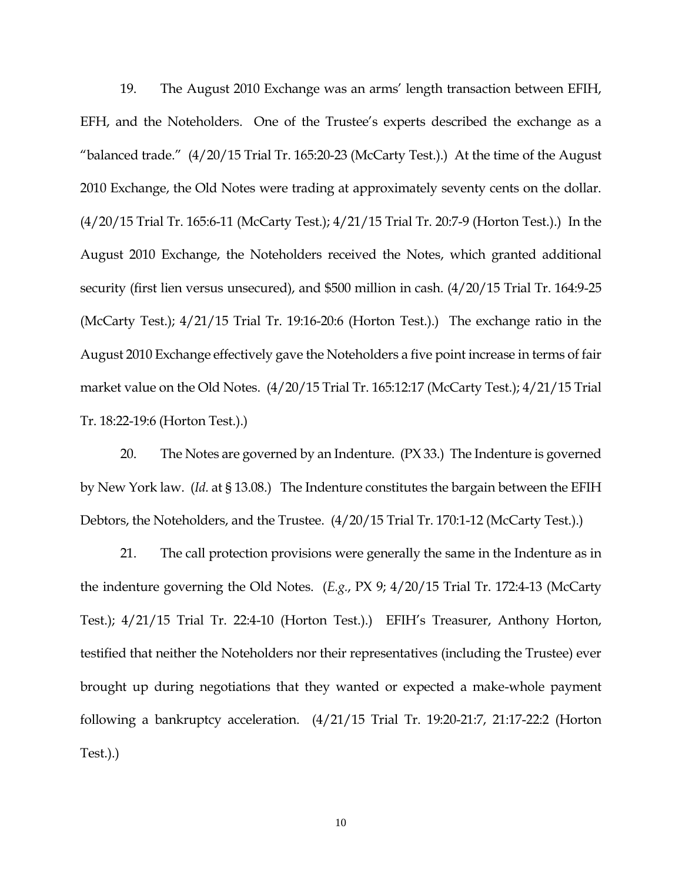19. The August 2010 Exchange was an arms' length transaction between EFIH, EFH, and the Noteholders. One of the Trustee's experts described the exchange as a "balanced trade."  $(4/20/15$  Trial Tr. 165:20-23 (McCarty Test.).) At the time of the August 2010 Exchange, the Old Notes were trading at approximately seventy cents on the dollar. (4/20/15 Trial Tr. 165:6-11 (McCarty Test.); 4/21/15 Trial Tr. 20:7-9 (Horton Test.).) In the August 2010 Exchange, the Noteholders received the Notes, which granted additional security (first lien versus unsecured), and \$500 million in cash. (4/20/15 Trial Tr. 164:9-25 (McCarty Test.); 4/21/15 Trial Tr. 19:16-20:6 (Horton Test.).) The exchange ratio in the August 2010 Exchange effectively gave the Noteholders a five point increase in terms of fair market value on the Old Notes. (4/20/15 Trial Tr. 165:12:17 (McCarty Test.); 4/21/15 Trial Tr. 18:22-19:6 (Horton Test.).)

20. The Notes are governed by an Indenture. (PX 33.) The Indenture is governed by New York law. (*Id.* at § 13.08.) The Indenture constitutes the bargain between the EFIH Debtors, the Noteholders, and the Trustee. (4/20/15 Trial Tr. 170:1-12 (McCarty Test.).)

21. The call protection provisions were generally the same in the Indenture as in the indenture governing the Old Notes. (*E.g.*, PX 9; 4/20/15 Trial Tr. 172:4-13 (McCarty Test.); 4/21/15 Trial Tr. 22:4-10 (Horton Test.).) EFIH's Treasurer, Anthony Horton, testified that neither the Noteholders nor their representatives (including the Trustee) ever brought up during negotiations that they wanted or expected a make-whole payment following a bankruptcy acceleration. (4/21/15 Trial Tr. 19:20-21:7, 21:17-22:2 (Horton Test.).)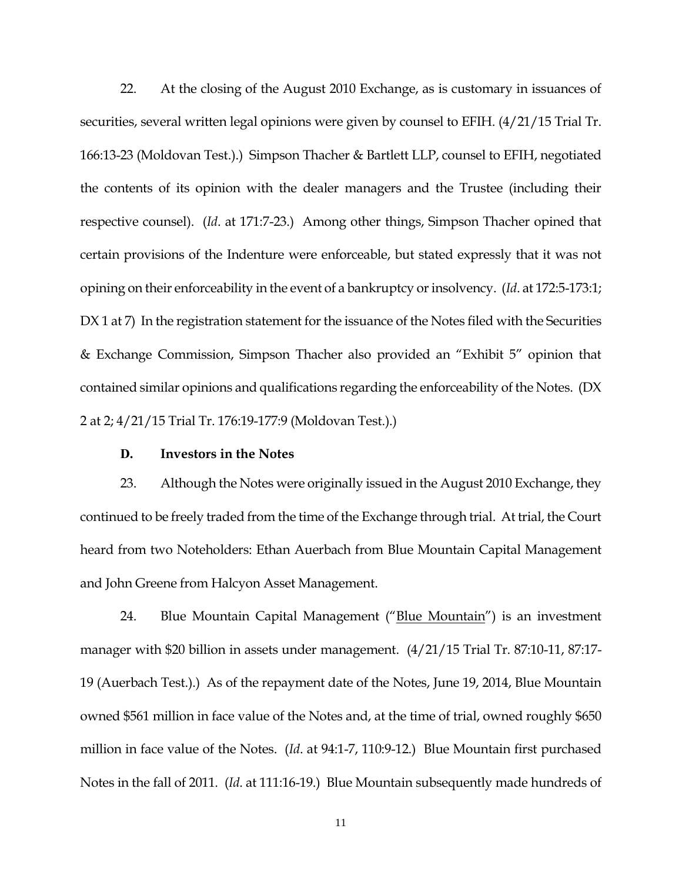22. At the closing of the August 2010 Exchange, as is customary in issuances of securities, several written legal opinions were given by counsel to EFIH. (4/21/15 Trial Tr. 166:13-23 (Moldovan Test.).) Simpson Thacher & Bartlett LLP, counsel to EFIH, negotiated the contents of its opinion with the dealer managers and the Trustee (including their respective counsel). (*Id*. at 171:7-23.) Among other things, Simpson Thacher opined that certain provisions of the Indenture were enforceable, but stated expressly that it was not opining on their enforceability in the event of a bankruptcy or insolvency. (*Id*. at 172:5-173:1; DX 1 at 7) In the registration statement for the issuance of the Notes filed with the Securities & Exchange Commission, Simpson Thacher also provided an "Exhibit 5" opinion that contained similar opinions and qualifications regarding the enforceability of the Notes. (DX 2 at 2; 4/21/15 Trial Tr. 176:19-177:9 (Moldovan Test.).)

## **D. Investors in the Notes**

23. Although the Notes were originally issued in the August 2010 Exchange, they continued to be freely traded from the time of the Exchange through trial. At trial, the Court heard from two Noteholders: Ethan Auerbach from Blue Mountain Capital Management and John Greene from Halcyon Asset Management.

24. Blue Mountain Capital Management ("Blue Mountain") is an investment manager with \$20 billion in assets under management. (4/21/15 Trial Tr. 87:10-11, 87:17- 19 (Auerbach Test.).) As of the repayment date of the Notes, June 19, 2014, Blue Mountain owned \$561 million in face value of the Notes and, at the time of trial, owned roughly \$650 million in face value of the Notes. (*Id*. at 94:1-7, 110:9-12.) Blue Mountain first purchased Notes in the fall of 2011. (*Id*. at 111:16-19.) Blue Mountain subsequently made hundreds of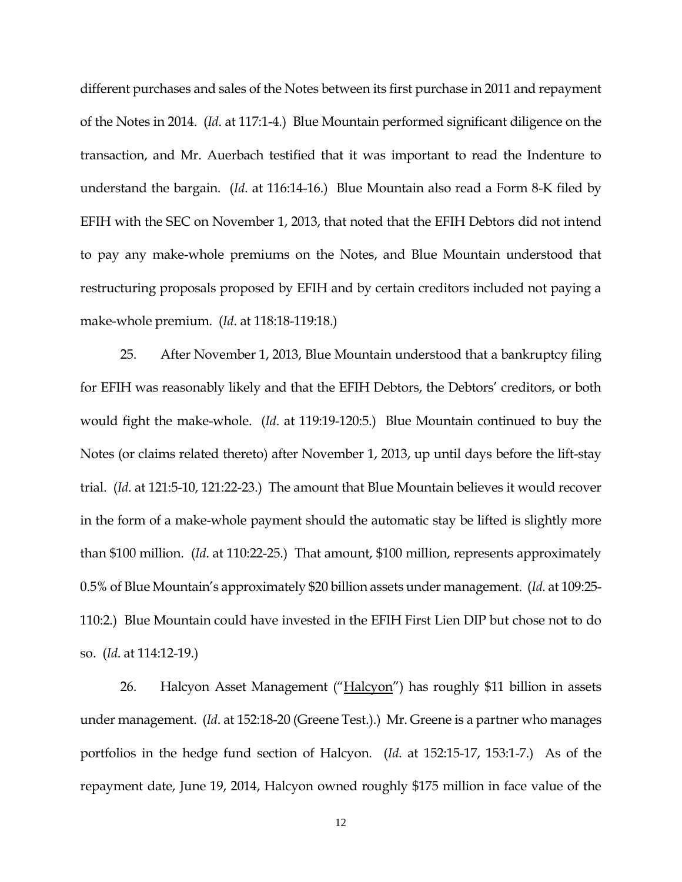different purchases and sales of the Notes between its first purchase in 2011 and repayment of the Notes in 2014. (*Id*. at 117:1-4.) Blue Mountain performed significant diligence on the transaction, and Mr. Auerbach testified that it was important to read the Indenture to understand the bargain. (*Id*. at 116:14-16.) Blue Mountain also read a Form 8-K filed by EFIH with the SEC on November 1, 2013, that noted that the EFIH Debtors did not intend to pay any make-whole premiums on the Notes, and Blue Mountain understood that restructuring proposals proposed by EFIH and by certain creditors included not paying a make-whole premium. (*Id*. at 118:18-119:18.)

25. After November 1, 2013, Blue Mountain understood that a bankruptcy filing for EFIH was reasonably likely and that the EFIH Debtors, the Debtors' creditors, or both would fight the make-whole. (*Id*. at 119:19-120:5.) Blue Mountain continued to buy the Notes (or claims related thereto) after November 1, 2013, up until days before the lift-stay trial. (*Id*. at 121:5-10, 121:22-23.) The amount that Blue Mountain believes it would recover in the form of a make-whole payment should the automatic stay be lifted is slightly more than \$100 million. (*Id*. at 110:22-25.) That amount, \$100 million, represents approximately 0.5% of Blue Mountain's approximately \$20 billion assets under management. (*Id.* at 109:25- 110:2.) Blue Mountain could have invested in the EFIH First Lien DIP but chose not to do so. (*Id*. at 114:12-19.)

26. Halcyon Asset Management ("Halcyon") has roughly \$11 billion in assets under management. (*Id*. at 152:18-20 (Greene Test.).) Mr. Greene is a partner who manages portfolios in the hedge fund section of Halcyon. (*Id*. at 152:15-17, 153:1-7.) As of the repayment date, June 19, 2014, Halcyon owned roughly \$175 million in face value of the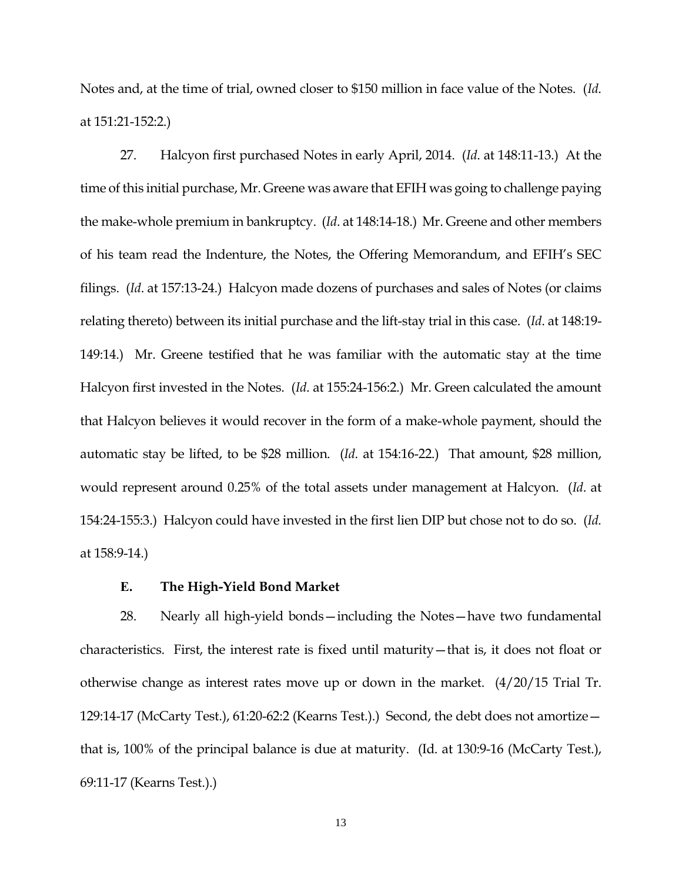Notes and, at the time of trial, owned closer to \$150 million in face value of the Notes. (*Id*. at 151:21-152:2.)

27. Halcyon first purchased Notes in early April, 2014. (*Id*. at 148:11-13.) At the time of this initial purchase, Mr. Greene was aware that EFIH was going to challenge paying the make-whole premium in bankruptcy. (*Id*. at 148:14-18.) Mr. Greene and other members of his team read the Indenture, the Notes, the Offering Memorandum, and EFIH's SEC filings. (*Id*. at 157:13-24.) Halcyon made dozens of purchases and sales of Notes (or claims relating thereto) between its initial purchase and the lift-stay trial in this case. (*Id*. at 148:19- 149:14.) Mr. Greene testified that he was familiar with the automatic stay at the time Halcyon first invested in the Notes. (*Id*. at 155:24-156:2.) Mr. Green calculated the amount that Halcyon believes it would recover in the form of a make-whole payment, should the automatic stay be lifted, to be \$28 million. (*Id*. at 154:16-22.) That amount, \$28 million, would represent around 0.25% of the total assets under management at Halcyon. (*Id*. at 154:24-155:3.) Halcyon could have invested in the first lien DIP but chose not to do so. (*Id.*  at 158:9-14.)

### **E. The High-Yield Bond Market**

28. Nearly all high-yield bonds—including the Notes—have two fundamental characteristics. First, the interest rate is fixed until maturity—that is, it does not float or otherwise change as interest rates move up or down in the market. (4/20/15 Trial Tr. 129:14-17 (McCarty Test.), 61:20-62:2 (Kearns Test.).) Second, the debt does not amortize that is, 100% of the principal balance is due at maturity. (Id. at 130:9-16 (McCarty Test.), 69:11-17 (Kearns Test.).)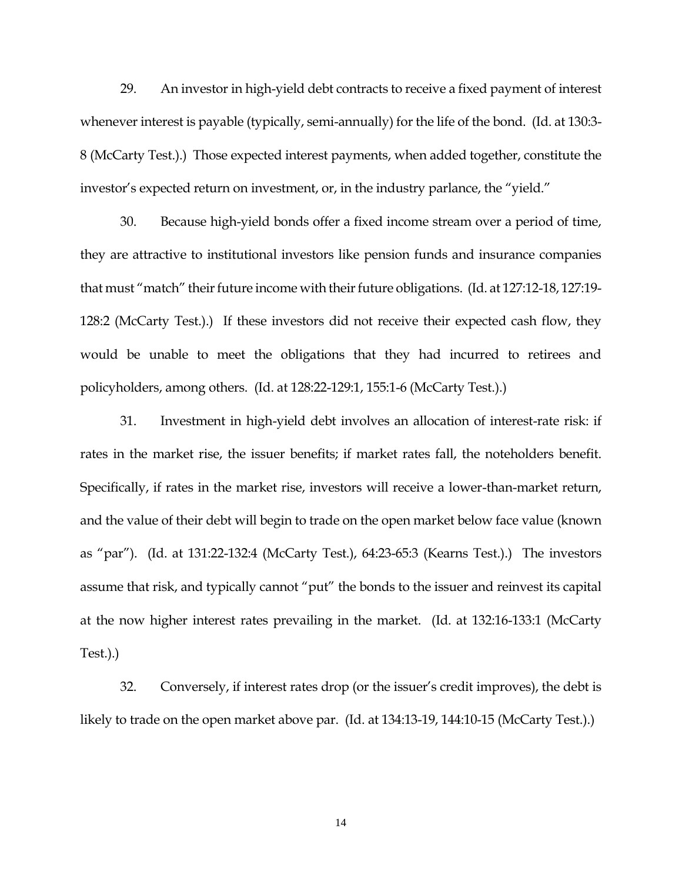29. An investor in high-yield debt contracts to receive a fixed payment of interest whenever interest is payable (typically, semi-annually) for the life of the bond. (Id. at 130:3- 8 (McCarty Test.).) Those expected interest payments, when added together, constitute the investor's expected return on investment, or, in the industry parlance, the "yield."

30. Because high-yield bonds offer a fixed income stream over a period of time, they are attractive to institutional investors like pension funds and insurance companies that must "match" their future income with their future obligations. (Id. at 127:12-18, 127:19- 128:2 (McCarty Test.).) If these investors did not receive their expected cash flow, they would be unable to meet the obligations that they had incurred to retirees and policyholders, among others. (Id. at 128:22-129:1, 155:1-6 (McCarty Test.).)

31. Investment in high-yield debt involves an allocation of interest-rate risk: if rates in the market rise, the issuer benefits; if market rates fall, the noteholders benefit. Specifically, if rates in the market rise, investors will receive a lower-than-market return, and the value of their debt will begin to trade on the open market below face value (known as "par"). (Id. at 131:22-132:4 (McCarty Test.), 64:23-65:3 (Kearns Test.).) The investors assume that risk, and typically cannot "put" the bonds to the issuer and reinvest its capital at the now higher interest rates prevailing in the market. (Id. at 132:16-133:1 (McCarty Test.).)

32. Conversely, if interest rates drop (or the issuer's credit improves), the debt is likely to trade on the open market above par. (Id. at 134:13-19, 144:10-15 (McCarty Test.).)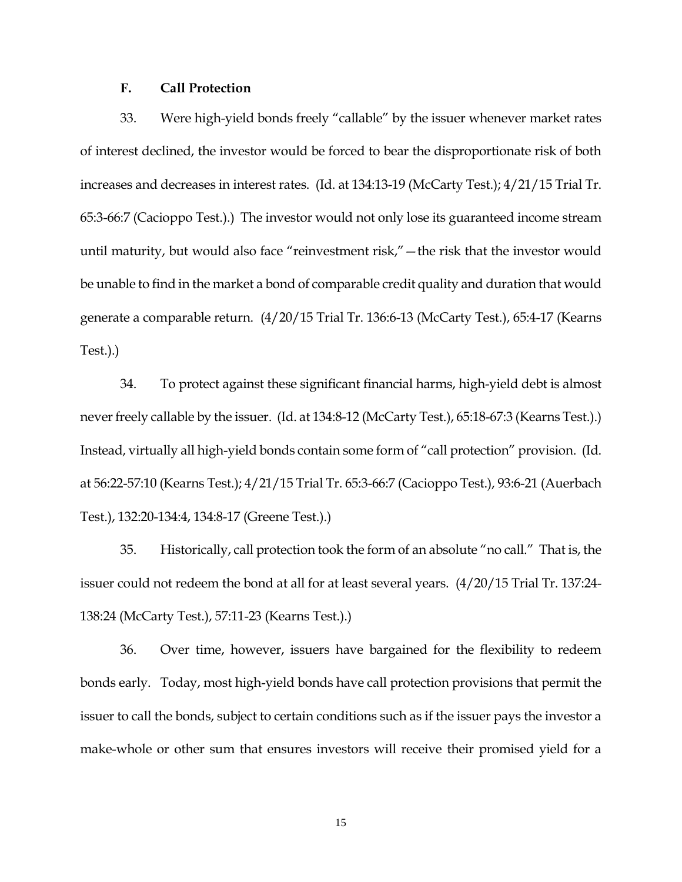## **F. Call Protection**

33. Were high-yield bonds freely "callable" by the issuer whenever market rates of interest declined, the investor would be forced to bear the disproportionate risk of both increases and decreases in interest rates. (Id. at 134:13-19 (McCarty Test.); 4/21/15 Trial Tr. 65:3-66:7 (Cacioppo Test.).) The investor would not only lose its guaranteed income stream until maturity, but would also face "reinvestment risk,"—the risk that the investor would be unable to find in the market a bond of comparable credit quality and duration that would generate a comparable return. (4/20/15 Trial Tr. 136:6-13 (McCarty Test.), 65:4-17 (Kearns Test.).)

34. To protect against these significant financial harms, high-yield debt is almost never freely callable by the issuer. (Id. at 134:8-12 (McCarty Test.), 65:18-67:3 (Kearns Test.).) Instead, virtually all high-yield bonds contain some form of "call protection" provision. (Id. at 56:22-57:10 (Kearns Test.); 4/21/15 Trial Tr. 65:3-66:7 (Cacioppo Test.), 93:6-21 (Auerbach Test.), 132:20-134:4, 134:8-17 (Greene Test.).)

35. Historically, call protection took the form of an absolute "no call." That is, the issuer could not redeem the bond at all for at least several years. (4/20/15 Trial Tr. 137:24- 138:24 (McCarty Test.), 57:11-23 (Kearns Test.).)

36. Over time, however, issuers have bargained for the flexibility to redeem bonds early. Today, most high-yield bonds have call protection provisions that permit the issuer to call the bonds, subject to certain conditions such as if the issuer pays the investor a make-whole or other sum that ensures investors will receive their promised yield for a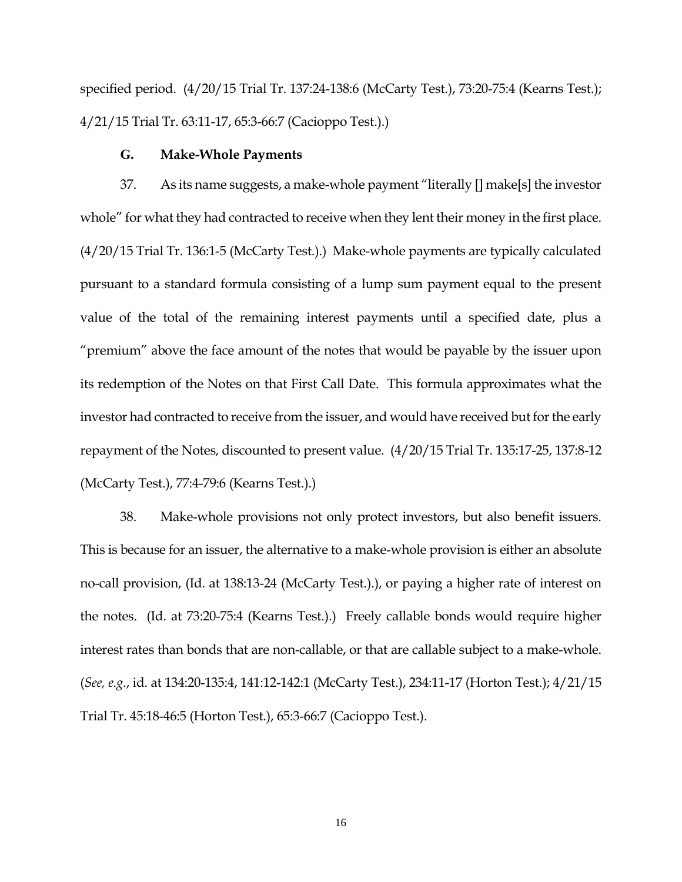specified period. (4/20/15 Trial Tr. 137:24-138:6 (McCarty Test.), 73:20-75:4 (Kearns Test.); 4/21/15 Trial Tr. 63:11-17, 65:3-66:7 (Cacioppo Test.).)

## **G. Make-Whole Payments**

37. As its name suggests, a make-whole payment "literally [] make[s] the investor whole" for what they had contracted to receive when they lent their money in the first place. (4/20/15 Trial Tr. 136:1-5 (McCarty Test.).) Make-whole payments are typically calculated pursuant to a standard formula consisting of a lump sum payment equal to the present value of the total of the remaining interest payments until a specified date, plus a "premium" above the face amount of the notes that would be payable by the issuer upon its redemption of the Notes on that First Call Date. This formula approximates what the investor had contracted to receive from the issuer, and would have received but for the early repayment of the Notes, discounted to present value. (4/20/15 Trial Tr. 135:17-25, 137:8-12 (McCarty Test.), 77:4-79:6 (Kearns Test.).)

38. Make-whole provisions not only protect investors, but also benefit issuers. This is because for an issuer, the alternative to a make-whole provision is either an absolute no-call provision, (Id. at 138:13-24 (McCarty Test.).), or paying a higher rate of interest on the notes. (Id. at 73:20-75:4 (Kearns Test.).) Freely callable bonds would require higher interest rates than bonds that are non-callable, or that are callable subject to a make-whole. (*See, e.g.*, id. at 134:20-135:4, 141:12-142:1 (McCarty Test.), 234:11-17 (Horton Test.); 4/21/15 Trial Tr. 45:18-46:5 (Horton Test.), 65:3-66:7 (Cacioppo Test.).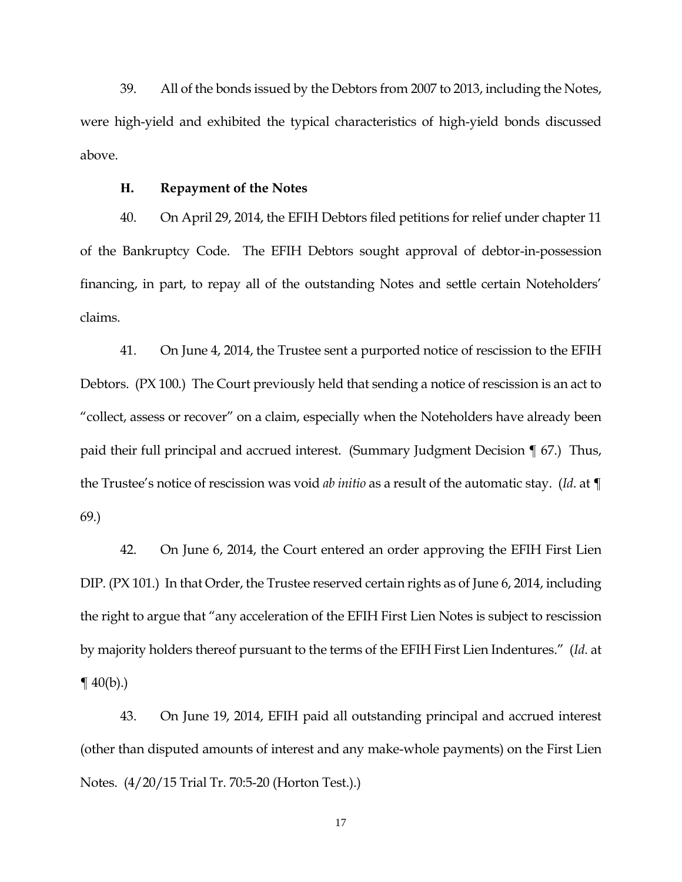39. All of the bonds issued by the Debtors from 2007 to 2013, including the Notes, were high-yield and exhibited the typical characteristics of high-yield bonds discussed above.

#### **H. Repayment of the Notes**

40. On April 29, 2014, the EFIH Debtors filed petitions for relief under chapter 11 of the Bankruptcy Code. The EFIH Debtors sought approval of debtor-in-possession financing, in part, to repay all of the outstanding Notes and settle certain Noteholders' claims.

41. On June 4, 2014, the Trustee sent a purported notice of rescission to the EFIH Debtors. (PX 100.) The Court previously held that sending a notice of rescission is an act to "collect, assess or recover" on a claim, especially when the Noteholders have already been paid their full principal and accrued interest. (Summary Judgment Decision ¶ 67.) Thus, the Trustee's notice of rescission was void *ab initio* as a result of the automatic stay. (*Id*. at ¶ 69.)

42. On June 6, 2014, the Court entered an order approving the EFIH First Lien DIP. (PX 101.) In that Order, the Trustee reserved certain rights as of June 6, 2014, including the right to argue that "any acceleration of the EFIH First Lien Notes is subject to rescission by majority holders thereof pursuant to the terms of the EFIH First Lien Indentures." (*Id.* at  $\P(40(b))$ .

43. On June 19, 2014, EFIH paid all outstanding principal and accrued interest (other than disputed amounts of interest and any make-whole payments) on the First Lien Notes. (4/20/15 Trial Tr. 70:5-20 (Horton Test.).)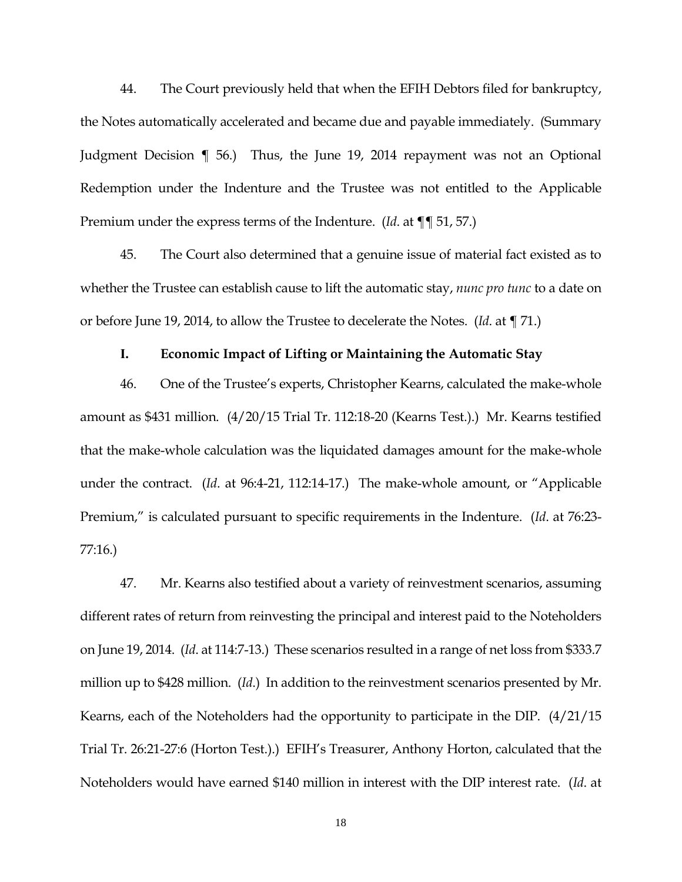44. The Court previously held that when the EFIH Debtors filed for bankruptcy, the Notes automatically accelerated and became due and payable immediately. (Summary Judgment Decision ¶ 56.) Thus, the June 19, 2014 repayment was not an Optional Redemption under the Indenture and the Trustee was not entitled to the Applicable Premium under the express terms of the Indenture. (*Id*. at ¶¶ 51, 57.)

45. The Court also determined that a genuine issue of material fact existed as to whether the Trustee can establish cause to lift the automatic stay, *nunc pro tunc* to a date on or before June 19, 2014, to allow the Trustee to decelerate the Notes. (*Id*. at ¶ 71.)

### **I. Economic Impact of Lifting or Maintaining the Automatic Stay**

46. One of the Trustee's experts, Christopher Kearns, calculated the make-whole amount as \$431 million. (4/20/15 Trial Tr. 112:18-20 (Kearns Test.).) Mr. Kearns testified that the make-whole calculation was the liquidated damages amount for the make-whole under the contract. (*Id*. at 96:4-21, 112:14-17.) The make-whole amount, or "Applicable Premium," is calculated pursuant to specific requirements in the Indenture. (*Id*. at 76:23- 77:16.)

47. Mr. Kearns also testified about a variety of reinvestment scenarios, assuming different rates of return from reinvesting the principal and interest paid to the Noteholders on June 19, 2014. (*Id*. at 114:7-13.) These scenarios resulted in a range of net loss from \$333.7 million up to \$428 million. (*Id*.) In addition to the reinvestment scenarios presented by Mr. Kearns, each of the Noteholders had the opportunity to participate in the DIP. (4/21/15 Trial Tr. 26:21-27:6 (Horton Test.).) EFIH's Treasurer, Anthony Horton, calculated that the Noteholders would have earned \$140 million in interest with the DIP interest rate. (*Id*. at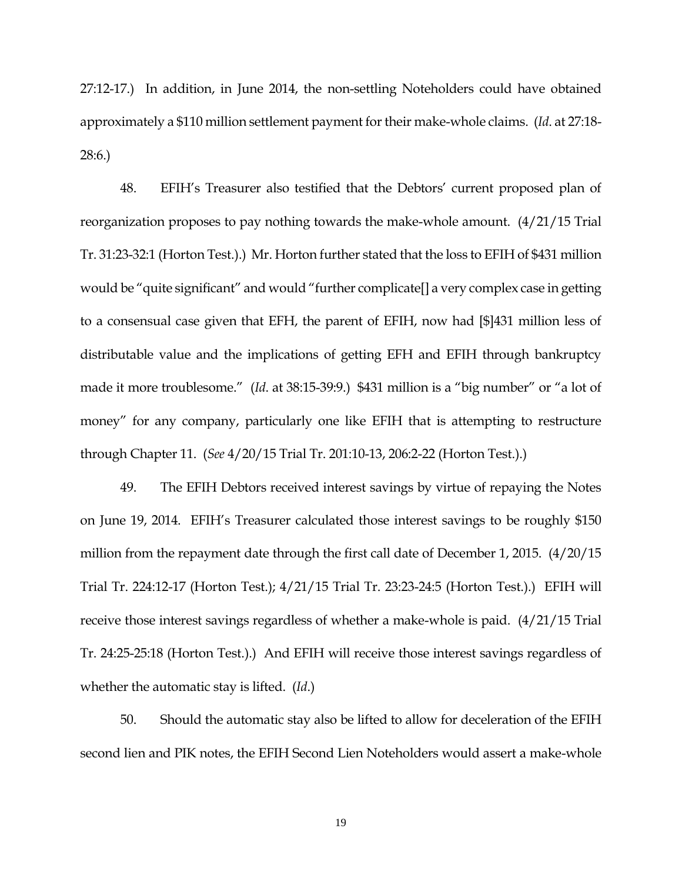27:12-17.) In addition, in June 2014, the non-settling Noteholders could have obtained approximately a \$110 million settlement payment for their make-whole claims. (*Id*. at 27:18- 28:6.)

48. EFIH's Treasurer also testified that the Debtors' current proposed plan of reorganization proposes to pay nothing towards the make-whole amount. (4/21/15 Trial Tr. 31:23-32:1 (Horton Test.).) Mr. Horton further stated that the loss to EFIH of \$431 million would be "quite significant" and would "further complicate[] a very complex case in getting to a consensual case given that EFH, the parent of EFIH, now had [\$]431 million less of distributable value and the implications of getting EFH and EFIH through bankruptcy made it more troublesome." (*Id*. at 38:15-39:9.) \$431 million is a "big number" or "a lot of money" for any company, particularly one like EFIH that is attempting to restructure through Chapter 11. (*See* 4/20/15 Trial Tr. 201:10-13, 206:2-22 (Horton Test.).)

49. The EFIH Debtors received interest savings by virtue of repaying the Notes on June 19, 2014. EFIH's Treasurer calculated those interest savings to be roughly \$150 million from the repayment date through the first call date of December 1, 2015. (4/20/15 Trial Tr. 224:12-17 (Horton Test.); 4/21/15 Trial Tr. 23:23-24:5 (Horton Test.).) EFIH will receive those interest savings regardless of whether a make-whole is paid. (4/21/15 Trial Tr. 24:25-25:18 (Horton Test.).) And EFIH will receive those interest savings regardless of whether the automatic stay is lifted. (*Id*.)

50. Should the automatic stay also be lifted to allow for deceleration of the EFIH second lien and PIK notes, the EFIH Second Lien Noteholders would assert a make-whole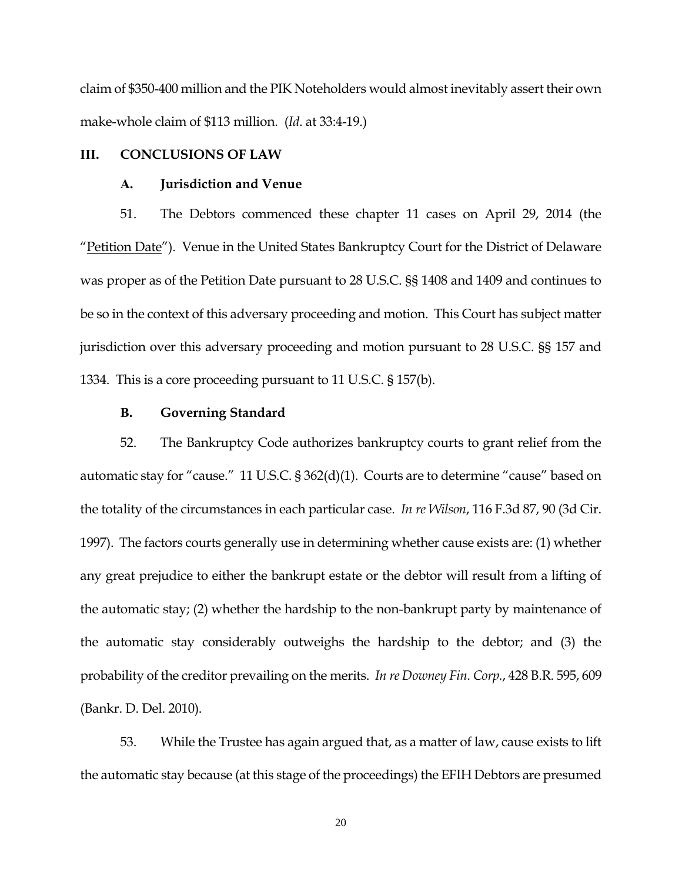claim of \$350-400 million and the PIK Noteholders would almost inevitably assert their own make-whole claim of \$113 million. (*Id*. at 33:4-19.)

### **III. CONCLUSIONS OF LAW**

### **A. Jurisdiction and Venue**

51. The Debtors commenced these chapter 11 cases on April 29, 2014 (the "Petition Date"). Venue in the United States Bankruptcy Court for the District of Delaware was proper as of the Petition Date pursuant to 28 U.S.C. §§ 1408 and 1409 and continues to be so in the context of this adversary proceeding and motion. This Court has subject matter jurisdiction over this adversary proceeding and motion pursuant to 28 U.S.C. §§ 157 and 1334. This is a core proceeding pursuant to 11 U.S.C. § 157(b).

# **B. Governing Standard**

52. The Bankruptcy Code authorizes bankruptcy courts to grant relief from the automatic stay for "cause." 11 U.S.C. § 362(d)(1). Courts are to determine "cause" based on the totality of the circumstances in each particular case. *In re Wilson*, 116 F.3d 87, 90 (3d Cir. 1997). The factors courts generally use in determining whether cause exists are: (1) whether any great prejudice to either the bankrupt estate or the debtor will result from a lifting of the automatic stay; (2) whether the hardship to the non-bankrupt party by maintenance of the automatic stay considerably outweighs the hardship to the debtor; and (3) the probability of the creditor prevailing on the merits. *In re Downey Fin. Corp.*, 428 B.R. 595, 609 (Bankr. D. Del. 2010).

53. While the Trustee has again argued that, as a matter of law, cause exists to lift the automatic stay because (at this stage of the proceedings) the EFIH Debtors are presumed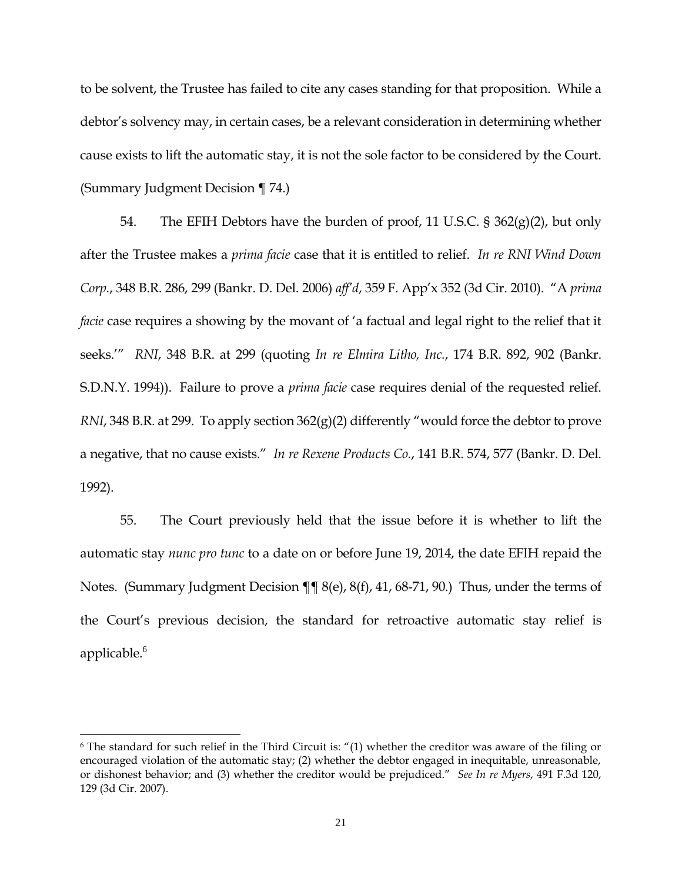to be solvent, the Trustee has failed to cite any cases standing for that proposition. While a debtor's solvency may, in certain cases, be a relevant consideration in determining whether cause exists to lift the automatic stay, it is not the sole factor to be considered by the Court. (Summary Judgment Decision ¶ 74.)

54. The EFIH Debtors have the burden of proof, 11 U.S.C. §  $362(g)(2)$ , but only after the Trustee makes a *prima facie* case that it is entitled to relief. *In re RNI Wind Down Corp.*, 348 B.R. 286, 299 (Bankr. D. Del. 2006) *aff'd*, 359 F. App'x 352 (3d Cir. 2010). "A *prima facie* case requires a showing by the movant of 'a factual and legal right to the relief that it seeks.'" *RNI*, 348 B.R. at 299 (quoting *In re Elmira Litho, Inc.*, 174 B.R. 892, 902 (Bankr. S.D.N.Y. 1994)). Failure to prove a *prima facie* case requires denial of the requested relief. *RNI*, 348 B.R. at 299. To apply section 362(g)(2) differently "would force the debtor to prove a negative, that no cause exists." *In re Rexene Products Co.*, 141 B.R. 574, 577 (Bankr. D. Del. 1992).

55. The Court previously held that the issue before it is whether to lift the automatic stay *nunc pro tunc* to a date on or before June 19, 2014, the date EFIH repaid the Notes. (Summary Judgment Decision ¶¶ 8(e), 8(f), 41, 68-71, 90.) Thus, under the terms of the Court's previous decision, the standard for retroactive automatic stay relief is applicable. 6

 $\overline{\phantom{a}}$ 

<sup>6</sup> The standard for such relief in the Third Circuit is: "(1) whether the creditor was aware of the filing or encouraged violation of the automatic stay; (2) whether the debtor engaged in inequitable, unreasonable, or dishonest behavior; and (3) whether the creditor would be prejudiced." *See In re Myers*, 491 F.3d 120, 129 (3d Cir. 2007).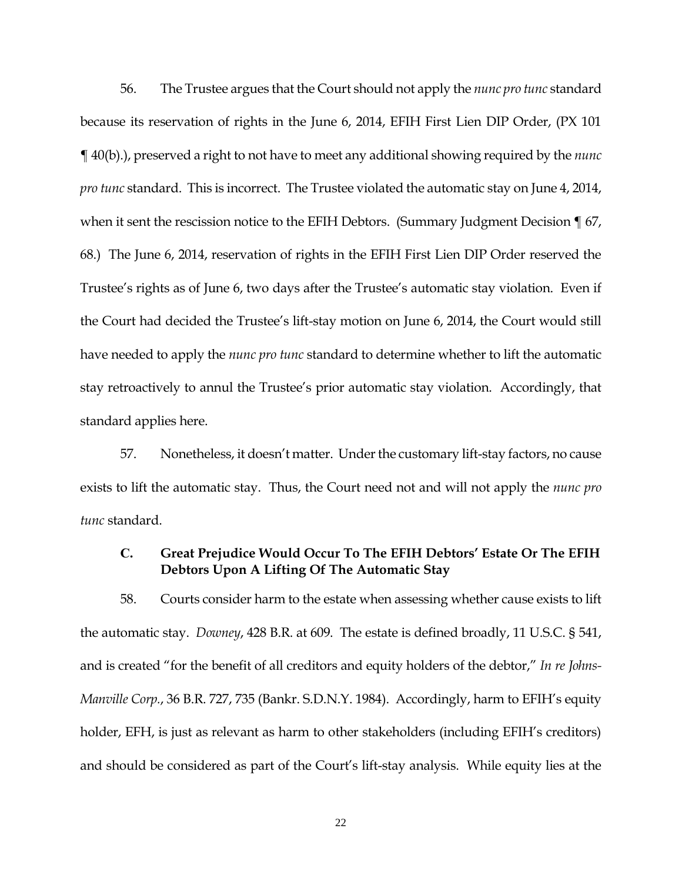56. The Trustee argues that the Court should not apply the *nunc pro tunc* standard because its reservation of rights in the June 6, 2014, EFIH First Lien DIP Order, (PX 101 ¶ 40(b).), preserved a right to not have to meet any additional showing required by the *nunc pro tunc* standard. This is incorrect. The Trustee violated the automatic stay on June 4, 2014, when it sent the rescission notice to the EFIH Debtors. (Summary Judgment Decision  $\P$  67, 68.) The June 6, 2014, reservation of rights in the EFIH First Lien DIP Order reserved the Trustee's rights as of June 6, two days after the Trustee's automatic stay violation. Even if the Court had decided the Trustee's lift-stay motion on June 6, 2014, the Court would still have needed to apply the *nunc pro tunc* standard to determine whether to lift the automatic stay retroactively to annul the Trustee's prior automatic stay violation. Accordingly, that standard applies here.

57. Nonetheless, it doesn't matter. Under the customary lift-stay factors, no cause exists to lift the automatic stay. Thus, the Court need not and will not apply the *nunc pro tunc* standard.

# **C. Great Prejudice Would Occur To The EFIH Debtors' Estate Or The EFIH Debtors Upon A Lifting Of The Automatic Stay**

58. Courts consider harm to the estate when assessing whether cause exists to lift the automatic stay. *Downey*, 428 B.R. at 609. The estate is defined broadly, 11 U.S.C. § 541, and is created "for the benefit of all creditors and equity holders of the debtor," *In re Johns-Manville Corp.*, 36 B.R. 727, 735 (Bankr. S.D.N.Y. 1984). Accordingly, harm to EFIH's equity holder, EFH, is just as relevant as harm to other stakeholders (including EFIH's creditors) and should be considered as part of the Court's lift-stay analysis. While equity lies at the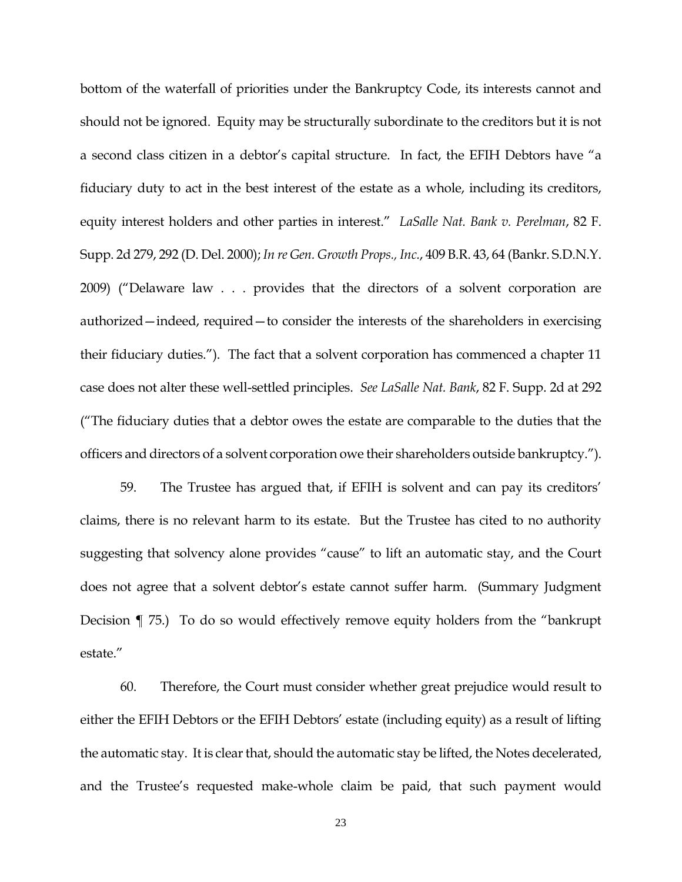bottom of the waterfall of priorities under the Bankruptcy Code, its interests cannot and should not be ignored. Equity may be structurally subordinate to the creditors but it is not a second class citizen in a debtor's capital structure. In fact, the EFIH Debtors have "a fiduciary duty to act in the best interest of the estate as a whole, including its creditors, equity interest holders and other parties in interest." *LaSalle Nat. Bank v. Perelman*, 82 F. Supp. 2d 279, 292 (D. Del. 2000); *In re Gen. Growth Props., Inc.*, 409 B.R. 43, 64 (Bankr. S.D.N.Y. 2009) ("Delaware law . . . provides that the directors of a solvent corporation are authorized—indeed, required—to consider the interests of the shareholders in exercising their fiduciary duties."). The fact that a solvent corporation has commenced a chapter 11 case does not alter these well-settled principles. *See LaSalle Nat. Bank*, 82 F. Supp. 2d at 292 ("The fiduciary duties that a debtor owes the estate are comparable to the duties that the officers and directors of a solvent corporation owe their shareholders outside bankruptcy.").

59. The Trustee has argued that, if EFIH is solvent and can pay its creditors' claims, there is no relevant harm to its estate. But the Trustee has cited to no authority suggesting that solvency alone provides "cause" to lift an automatic stay, and the Court does not agree that a solvent debtor's estate cannot suffer harm. (Summary Judgment Decision ¶ 75.) To do so would effectively remove equity holders from the "bankrupt estate"

60. Therefore, the Court must consider whether great prejudice would result to either the EFIH Debtors or the EFIH Debtors' estate (including equity) as a result of lifting the automatic stay. It is clear that, should the automatic stay be lifted, the Notes decelerated, and the Trustee's requested make-whole claim be paid, that such payment would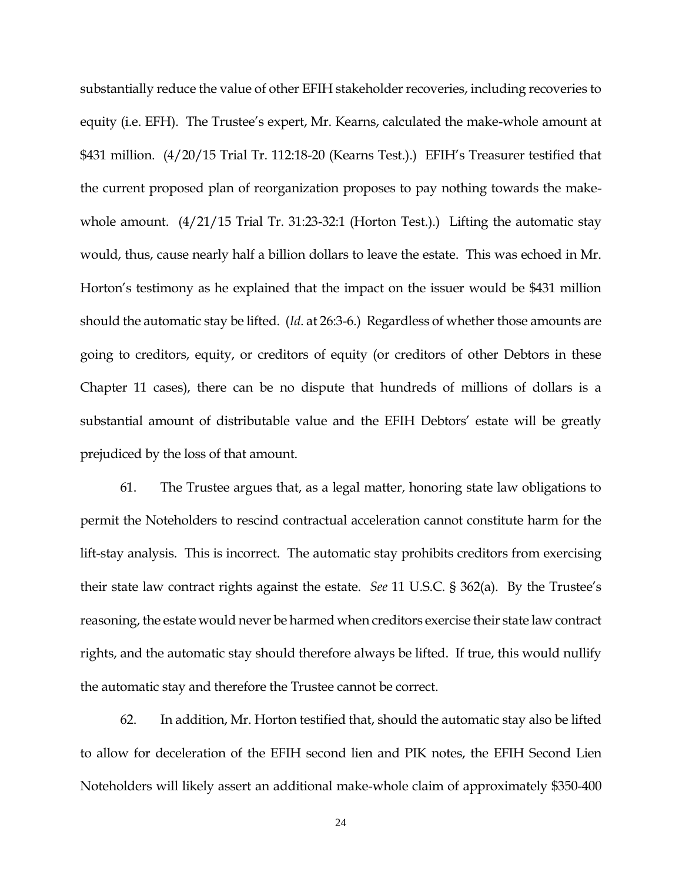substantially reduce the value of other EFIH stakeholder recoveries, including recoveries to equity (i.e. EFH). The Trustee's expert, Mr. Kearns, calculated the make-whole amount at \$431 million. (4/20/15 Trial Tr. 112:18-20 (Kearns Test.).) EFIH's Treasurer testified that the current proposed plan of reorganization proposes to pay nothing towards the makewhole amount. (4/21/15 Trial Tr. 31:23-32:1 (Horton Test.).) Lifting the automatic stay would, thus, cause nearly half a billion dollars to leave the estate. This was echoed in Mr. Horton's testimony as he explained that the impact on the issuer would be \$431 million should the automatic stay be lifted. (*Id*. at 26:3-6.) Regardless of whether those amounts are going to creditors, equity, or creditors of equity (or creditors of other Debtors in these Chapter 11 cases), there can be no dispute that hundreds of millions of dollars is a substantial amount of distributable value and the EFIH Debtors' estate will be greatly prejudiced by the loss of that amount.

61. The Trustee argues that, as a legal matter, honoring state law obligations to permit the Noteholders to rescind contractual acceleration cannot constitute harm for the lift-stay analysis. This is incorrect. The automatic stay prohibits creditors from exercising their state law contract rights against the estate. *See* 11 U.S.C. § 362(a). By the Trustee's reasoning, the estate would never be harmed when creditors exercise their state law contract rights, and the automatic stay should therefore always be lifted. If true, this would nullify the automatic stay and therefore the Trustee cannot be correct.

62. In addition, Mr. Horton testified that, should the automatic stay also be lifted to allow for deceleration of the EFIH second lien and PIK notes, the EFIH Second Lien Noteholders will likely assert an additional make-whole claim of approximately \$350-400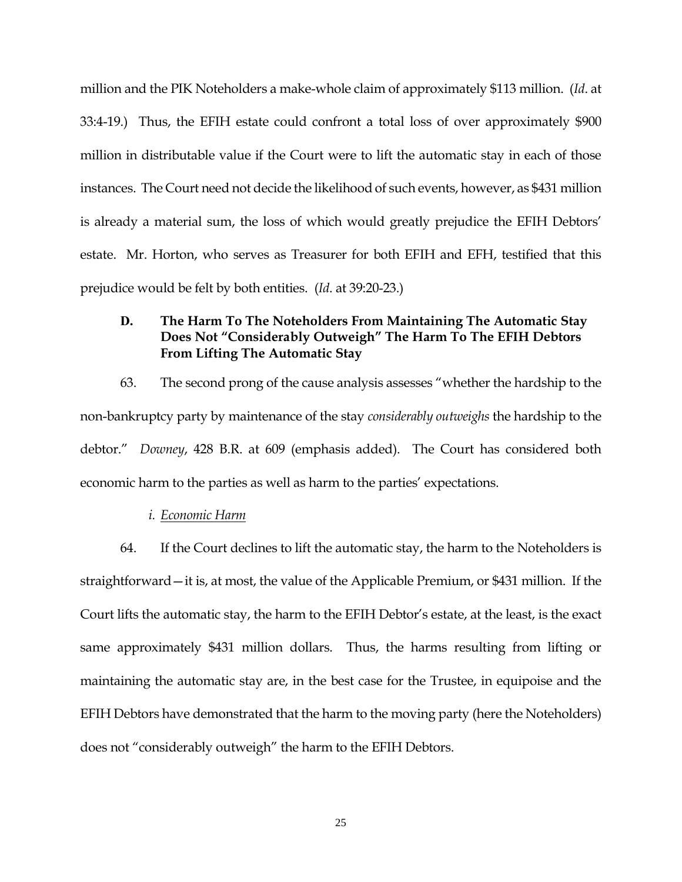million and the PIK Noteholders a make-whole claim of approximately \$113 million. (*Id*. at 33:4-19.) Thus, the EFIH estate could confront a total loss of over approximately \$900 million in distributable value if the Court were to lift the automatic stay in each of those instances. The Court need not decide the likelihood of such events, however, as \$431 million is already a material sum, the loss of which would greatly prejudice the EFIH Debtors' estate. Mr. Horton, who serves as Treasurer for both EFIH and EFH, testified that this prejudice would be felt by both entities. (*Id*. at 39:20-23.)

# **D. The Harm To The Noteholders From Maintaining The Automatic Stay Does Not "Considerably Outweigh" The Harm To The EFIH Debtors From Lifting The Automatic Stay**

63. The second prong of the cause analysis assesses "whether the hardship to the non-bankruptcy party by maintenance of the stay *considerably outweighs* the hardship to the debtor." *Downey*, 428 B.R. at 609 (emphasis added). The Court has considered both economic harm to the parties as well as harm to the parties' expectations.

### *i. Economic Harm*

64. If the Court declines to lift the automatic stay, the harm to the Noteholders is straightforward—it is, at most, the value of the Applicable Premium, or \$431 million. If the Court lifts the automatic stay, the harm to the EFIH Debtor's estate, at the least, is the exact same approximately \$431 million dollars. Thus, the harms resulting from lifting or maintaining the automatic stay are, in the best case for the Trustee, in equipoise and the EFIH Debtors have demonstrated that the harm to the moving party (here the Noteholders) does not "considerably outweigh" the harm to the EFIH Debtors.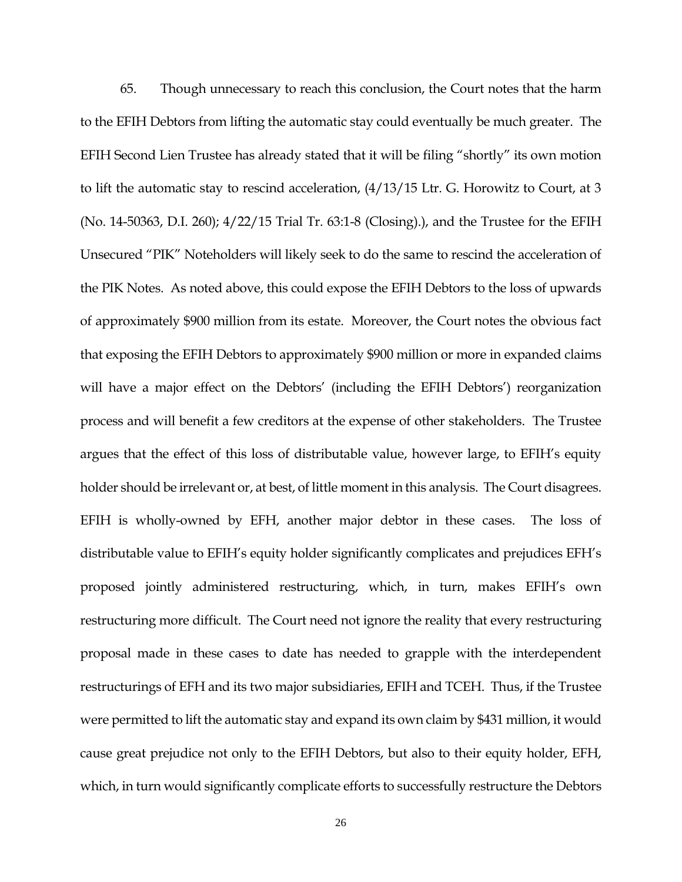65. Though unnecessary to reach this conclusion, the Court notes that the harm to the EFIH Debtors from lifting the automatic stay could eventually be much greater. The EFIH Second Lien Trustee has already stated that it will be filing "shortly" its own motion to lift the automatic stay to rescind acceleration, (4/13/15 Ltr. G. Horowitz to Court, at 3 (No. 14-50363, D.I. 260); 4/22/15 Trial Tr. 63:1-8 (Closing).), and the Trustee for the EFIH Unsecured "PIK" Noteholders will likely seek to do the same to rescind the acceleration of the PIK Notes. As noted above, this could expose the EFIH Debtors to the loss of upwards of approximately \$900 million from its estate. Moreover, the Court notes the obvious fact that exposing the EFIH Debtors to approximately \$900 million or more in expanded claims will have a major effect on the Debtors' (including the EFIH Debtors') reorganization process and will benefit a few creditors at the expense of other stakeholders. The Trustee argues that the effect of this loss of distributable value, however large, to EFIH's equity holder should be irrelevant or, at best, of little moment in this analysis. The Court disagrees. EFIH is wholly-owned by EFH, another major debtor in these cases. The loss of distributable value to EFIH's equity holder significantly complicates and prejudices EFH's proposed jointly administered restructuring, which, in turn, makes EFIH's own restructuring more difficult. The Court need not ignore the reality that every restructuring proposal made in these cases to date has needed to grapple with the interdependent restructurings of EFH and its two major subsidiaries, EFIH and TCEH. Thus, if the Trustee were permitted to lift the automatic stay and expand its own claim by \$431 million, it would cause great prejudice not only to the EFIH Debtors, but also to their equity holder, EFH, which, in turn would significantly complicate efforts to successfully restructure the Debtors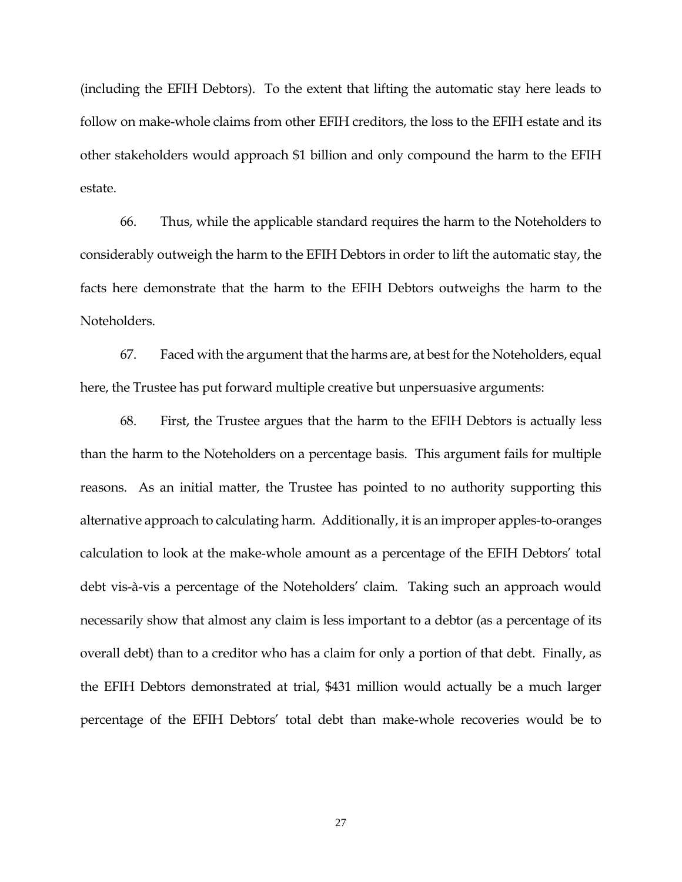(including the EFIH Debtors). To the extent that lifting the automatic stay here leads to follow on make-whole claims from other EFIH creditors, the loss to the EFIH estate and its other stakeholders would approach \$1 billion and only compound the harm to the EFIH estate.

66. Thus, while the applicable standard requires the harm to the Noteholders to considerably outweigh the harm to the EFIH Debtors in order to lift the automatic stay, the facts here demonstrate that the harm to the EFIH Debtors outweighs the harm to the Noteholders.

67. Faced with the argument that the harms are, at best for the Noteholders, equal here, the Trustee has put forward multiple creative but unpersuasive arguments:

68. First, the Trustee argues that the harm to the EFIH Debtors is actually less than the harm to the Noteholders on a percentage basis. This argument fails for multiple reasons. As an initial matter, the Trustee has pointed to no authority supporting this alternative approach to calculating harm. Additionally, it is an improper apples-to-oranges calculation to look at the make-whole amount as a percentage of the EFIH Debtors' total debt vis-à-vis a percentage of the Noteholders' claim. Taking such an approach would necessarily show that almost any claim is less important to a debtor (as a percentage of its overall debt) than to a creditor who has a claim for only a portion of that debt. Finally, as the EFIH Debtors demonstrated at trial, \$431 million would actually be a much larger percentage of the EFIH Debtors' total debt than make-whole recoveries would be to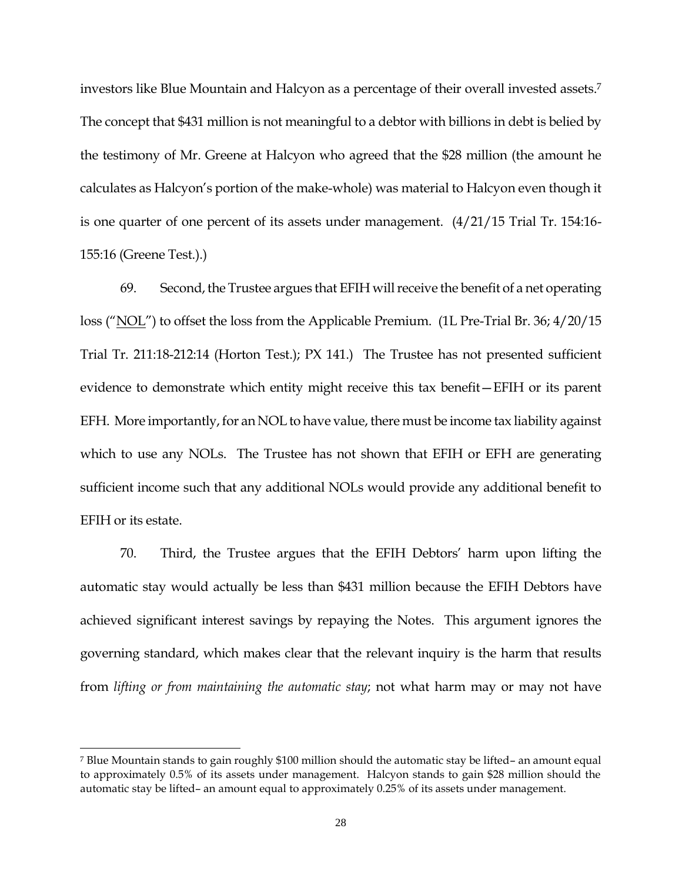investors like Blue Mountain and Halcyon as a percentage of their overall invested assets.<sup>7</sup> The concept that \$431 million is not meaningful to a debtor with billions in debt is belied by the testimony of Mr. Greene at Halcyon who agreed that the \$28 million (the amount he calculates as Halcyon's portion of the make-whole) was material to Halcyon even though it is one quarter of one percent of its assets under management. (4/21/15 Trial Tr. 154:16- 155:16 (Greene Test.).)

69. Second, the Trustee argues that EFIH will receive the benefit of a net operating loss ("NOL") to offset the loss from the Applicable Premium. (1L Pre-Trial Br. 36; 4/20/15 Trial Tr. 211:18-212:14 (Horton Test.); PX 141.) The Trustee has not presented sufficient evidence to demonstrate which entity might receive this tax benefit—EFIH or its parent EFH. More importantly, for an NOL to have value, there must be income tax liability against which to use any NOLs. The Trustee has not shown that EFIH or EFH are generating sufficient income such that any additional NOLs would provide any additional benefit to EFIH or its estate.

70. Third, the Trustee argues that the EFIH Debtors' harm upon lifting the automatic stay would actually be less than \$431 million because the EFIH Debtors have achieved significant interest savings by repaying the Notes. This argument ignores the governing standard, which makes clear that the relevant inquiry is the harm that results from *lifting or from maintaining the automatic stay*; not what harm may or may not have

 $\overline{\phantom{a}}$ 

<sup>7</sup> Blue Mountain stands to gain roughly \$100 million should the automatic stay be lifted– an amount equal to approximately 0.5% of its assets under management. Halcyon stands to gain \$28 million should the automatic stay be lifted– an amount equal to approximately 0.25% of its assets under management.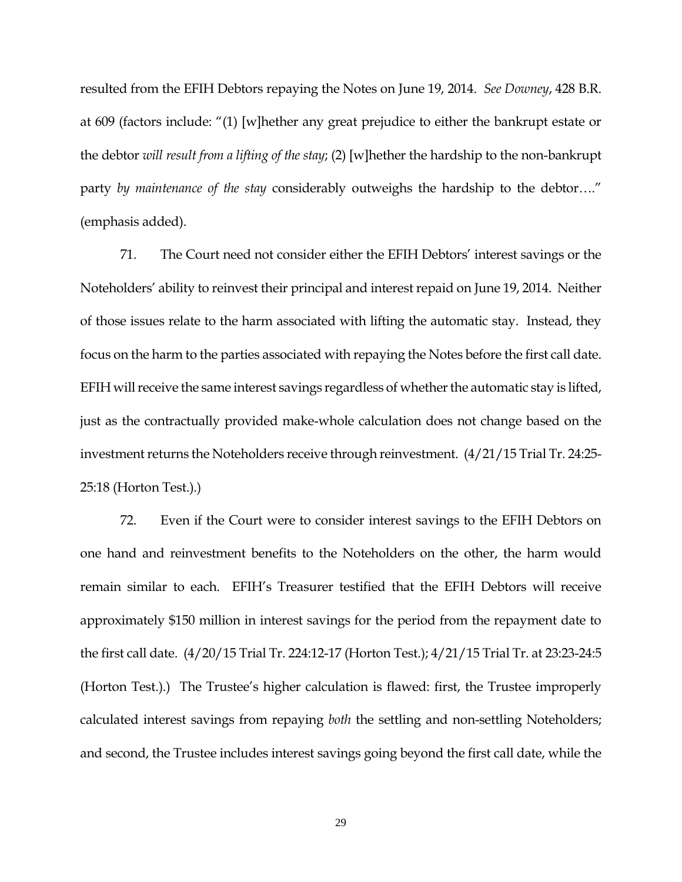resulted from the EFIH Debtors repaying the Notes on June 19, 2014. *See Downey*, 428 B.R. at 609 (factors include: "(1) [w]hether any great prejudice to either the bankrupt estate or the debtor *will result from a lifting of the stay*; (2) [w]hether the hardship to the non-bankrupt party *by maintenance of the stay* considerably outweighs the hardship to the debtor…." (emphasis added).

71. The Court need not consider either the EFIH Debtors' interest savings or the Noteholders' ability to reinvest their principal and interest repaid on June 19, 2014. Neither of those issues relate to the harm associated with lifting the automatic stay. Instead, they focus on the harm to the parties associated with repaying the Notes before the first call date. EFIH will receive the same interest savings regardless of whether the automatic stay is lifted, just as the contractually provided make-whole calculation does not change based on the investment returns the Noteholders receive through reinvestment. (4/21/15 Trial Tr. 24:25- 25:18 (Horton Test.).)

72. Even if the Court were to consider interest savings to the EFIH Debtors on one hand and reinvestment benefits to the Noteholders on the other, the harm would remain similar to each. EFIH's Treasurer testified that the EFIH Debtors will receive approximately \$150 million in interest savings for the period from the repayment date to the first call date. (4/20/15 Trial Tr. 224:12-17 (Horton Test.); 4/21/15 Trial Tr. at 23:23-24:5 (Horton Test.).) The Trustee's higher calculation is flawed: first, the Trustee improperly calculated interest savings from repaying *both* the settling and non-settling Noteholders; and second, the Trustee includes interest savings going beyond the first call date, while the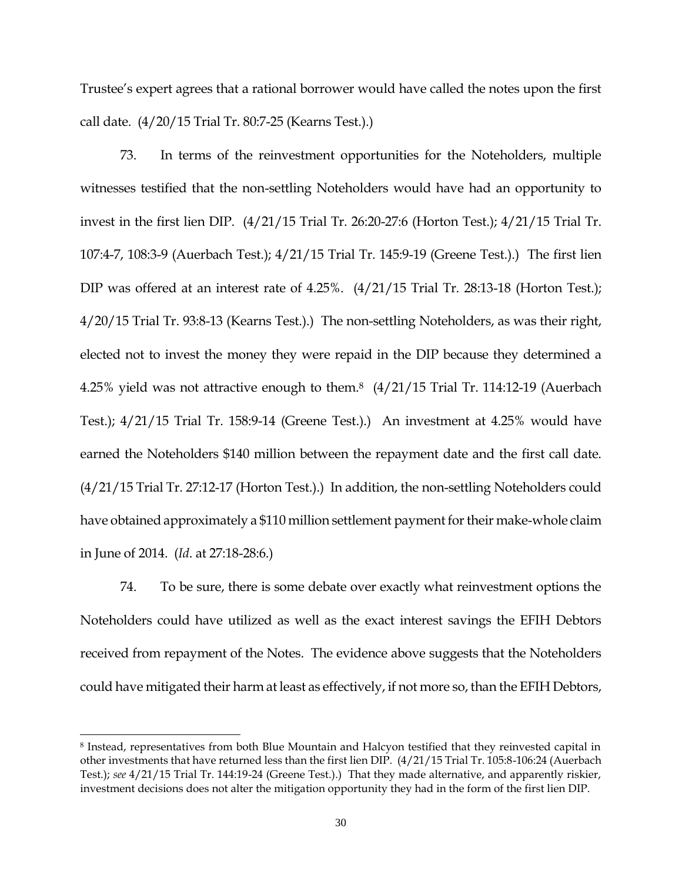Trustee's expert agrees that a rational borrower would have called the notes upon the first call date. (4/20/15 Trial Tr. 80:7-25 (Kearns Test.).)

73. In terms of the reinvestment opportunities for the Noteholders, multiple witnesses testified that the non-settling Noteholders would have had an opportunity to invest in the first lien DIP. (4/21/15 Trial Tr. 26:20-27:6 (Horton Test.); 4/21/15 Trial Tr. 107:4-7, 108:3-9 (Auerbach Test.); 4/21/15 Trial Tr. 145:9-19 (Greene Test.).) The first lien DIP was offered at an interest rate of 4.25%. (4/21/15 Trial Tr. 28:13-18 (Horton Test.); 4/20/15 Trial Tr. 93:8-13 (Kearns Test.).) The non-settling Noteholders, as was their right, elected not to invest the money they were repaid in the DIP because they determined a 4.25% yield was not attractive enough to them.8 (4/21/15 Trial Tr. 114:12-19 (Auerbach Test.); 4/21/15 Trial Tr. 158:9-14 (Greene Test.).) An investment at 4.25% would have earned the Noteholders \$140 million between the repayment date and the first call date. (4/21/15 Trial Tr. 27:12-17 (Horton Test.).) In addition, the non-settling Noteholders could have obtained approximately a \$110 million settlement payment for their make-whole claim in June of 2014. (*Id*. at 27:18-28:6.)

74. To be sure, there is some debate over exactly what reinvestment options the Noteholders could have utilized as well as the exact interest savings the EFIH Debtors received from repayment of the Notes. The evidence above suggests that the Noteholders could have mitigated their harm at least as effectively, if not more so, than the EFIH Debtors,

 $\overline{\phantom{a}}$ 

<sup>8</sup> Instead, representatives from both Blue Mountain and Halcyon testified that they reinvested capital in other investments that have returned less than the first lien DIP. (4/21/15 Trial Tr. 105:8-106:24 (Auerbach Test.); *see* 4/21/15 Trial Tr. 144:19-24 (Greene Test.).) That they made alternative, and apparently riskier, investment decisions does not alter the mitigation opportunity they had in the form of the first lien DIP.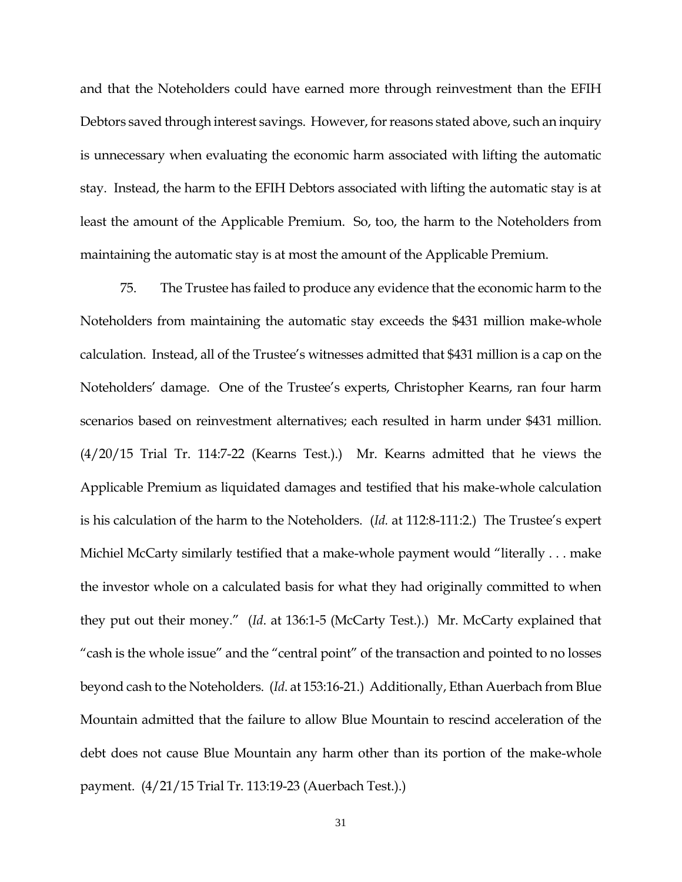and that the Noteholders could have earned more through reinvestment than the EFIH Debtors saved through interest savings. However, for reasons stated above, such an inquiry is unnecessary when evaluating the economic harm associated with lifting the automatic stay. Instead, the harm to the EFIH Debtors associated with lifting the automatic stay is at least the amount of the Applicable Premium. So, too, the harm to the Noteholders from maintaining the automatic stay is at most the amount of the Applicable Premium.

75. The Trustee has failed to produce any evidence that the economic harm to the Noteholders from maintaining the automatic stay exceeds the \$431 million make-whole calculation. Instead, all of the Trustee's witnesses admitted that \$431 million is a cap on the Noteholders' damage. One of the Trustee's experts, Christopher Kearns, ran four harm scenarios based on reinvestment alternatives; each resulted in harm under \$431 million. (4/20/15 Trial Tr. 114:7-22 (Kearns Test.).) Mr. Kearns admitted that he views the Applicable Premium as liquidated damages and testified that his make-whole calculation is his calculation of the harm to the Noteholders. (*Id.* at 112:8-111:2.) The Trustee's expert Michiel McCarty similarly testified that a make-whole payment would "literally . . . make the investor whole on a calculated basis for what they had originally committed to when they put out their money." (*Id*. at 136:1-5 (McCarty Test.).) Mr. McCarty explained that "cash is the whole issue" and the "central point" of the transaction and pointed to no losses beyond cash to the Noteholders. (*Id*. at 153:16-21.) Additionally, Ethan Auerbach from Blue Mountain admitted that the failure to allow Blue Mountain to rescind acceleration of the debt does not cause Blue Mountain any harm other than its portion of the make-whole payment. (4/21/15 Trial Tr. 113:19-23 (Auerbach Test.).)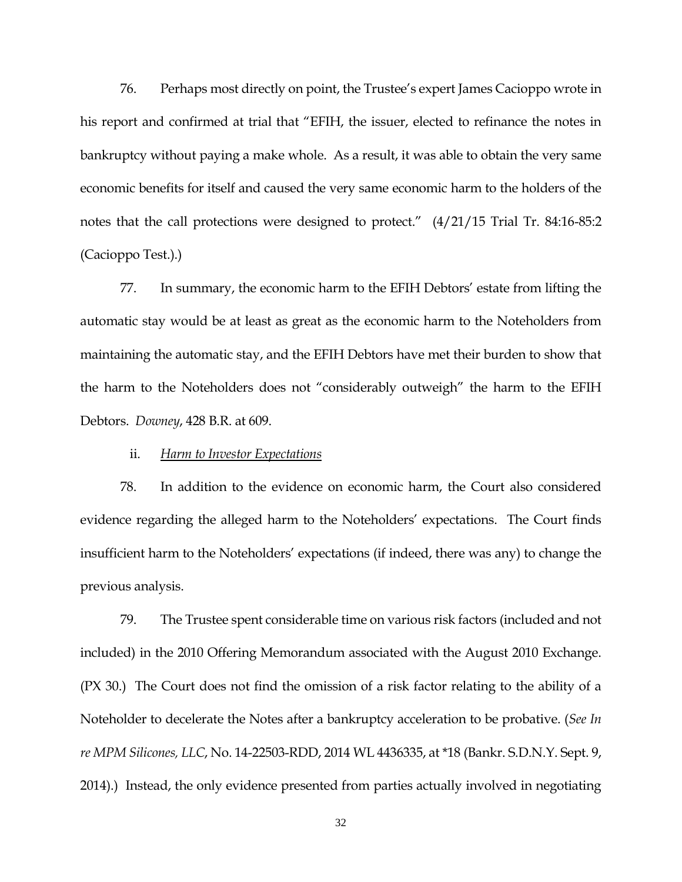76. Perhaps most directly on point, the Trustee's expert James Cacioppo wrote in his report and confirmed at trial that "EFIH, the issuer, elected to refinance the notes in bankruptcy without paying a make whole. As a result, it was able to obtain the very same economic benefits for itself and caused the very same economic harm to the holders of the notes that the call protections were designed to protect." (4/21/15 Trial Tr. 84:16-85:2 (Cacioppo Test.).)

77. In summary, the economic harm to the EFIH Debtors' estate from lifting the automatic stay would be at least as great as the economic harm to the Noteholders from maintaining the automatic stay, and the EFIH Debtors have met their burden to show that the harm to the Noteholders does not "considerably outweigh" the harm to the EFIH Debtors. *Downey*, 428 B.R. at 609.

#### ii. *Harm to Investor Expectations*

78. In addition to the evidence on economic harm, the Court also considered evidence regarding the alleged harm to the Noteholders' expectations. The Court finds insufficient harm to the Noteholders' expectations (if indeed, there was any) to change the previous analysis.

79. The Trustee spent considerable time on various risk factors (included and not included) in the 2010 Offering Memorandum associated with the August 2010 Exchange. (PX 30.) The Court does not find the omission of a risk factor relating to the ability of a Noteholder to decelerate the Notes after a bankruptcy acceleration to be probative. (*See In re MPM Silicones, LLC*, No. 14-22503-RDD, 2014 WL 4436335, at \*18 (Bankr. S.D.N.Y. Sept. 9, 2014).) Instead, the only evidence presented from parties actually involved in negotiating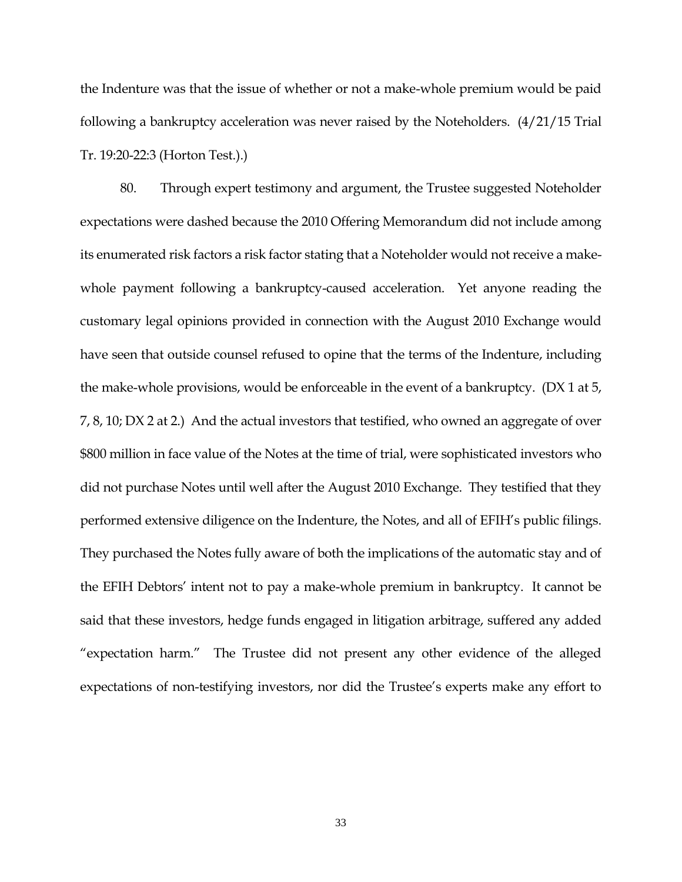the Indenture was that the issue of whether or not a make-whole premium would be paid following a bankruptcy acceleration was never raised by the Noteholders. (4/21/15 Trial Tr. 19:20-22:3 (Horton Test.).)

80. Through expert testimony and argument, the Trustee suggested Noteholder expectations were dashed because the 2010 Offering Memorandum did not include among its enumerated risk factors a risk factor stating that a Noteholder would not receive a makewhole payment following a bankruptcy-caused acceleration. Yet anyone reading the customary legal opinions provided in connection with the August 2010 Exchange would have seen that outside counsel refused to opine that the terms of the Indenture, including the make-whole provisions, would be enforceable in the event of a bankruptcy. (DX 1 at 5, 7, 8, 10; DX 2 at 2.) And the actual investors that testified, who owned an aggregate of over \$800 million in face value of the Notes at the time of trial, were sophisticated investors who did not purchase Notes until well after the August 2010 Exchange. They testified that they performed extensive diligence on the Indenture, the Notes, and all of EFIH's public filings. They purchased the Notes fully aware of both the implications of the automatic stay and of the EFIH Debtors' intent not to pay a make-whole premium in bankruptcy. It cannot be said that these investors, hedge funds engaged in litigation arbitrage, suffered any added "expectation harm." The Trustee did not present any other evidence of the alleged expectations of non-testifying investors, nor did the Trustee's experts make any effort to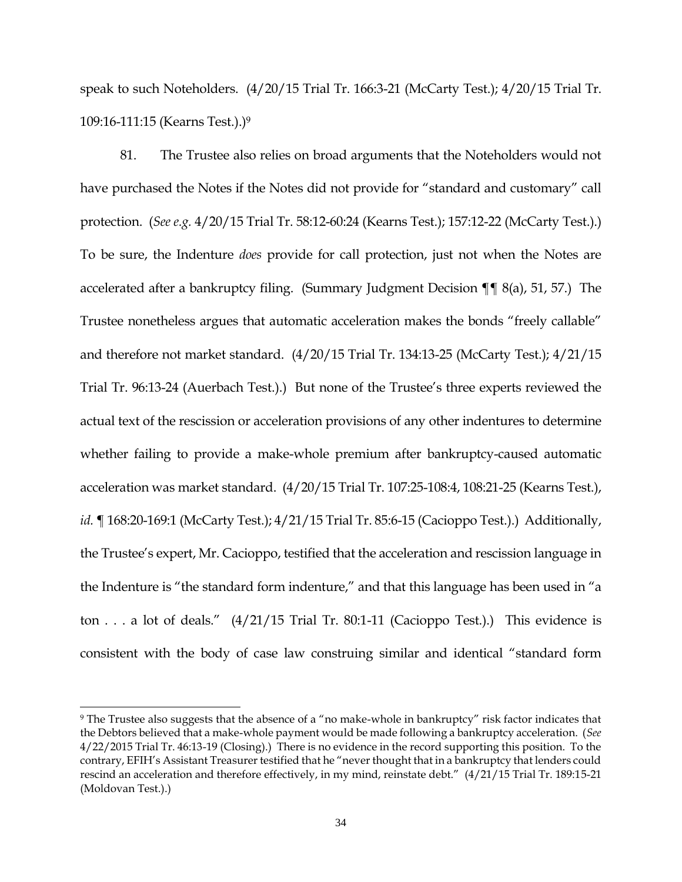speak to such Noteholders. (4/20/15 Trial Tr. 166:3-21 (McCarty Test.); 4/20/15 Trial Tr. 109:16-111:15 (Kearns Test.).)<sup>9</sup>

81. The Trustee also relies on broad arguments that the Noteholders would not have purchased the Notes if the Notes did not provide for "standard and customary" call protection. (*See e.g.* 4/20/15 Trial Tr. 58:12-60:24 (Kearns Test.); 157:12-22 (McCarty Test.).) To be sure, the Indenture *does* provide for call protection, just not when the Notes are accelerated after a bankruptcy filing. (Summary Judgment Decision ¶¶ 8(a), 51, 57.) The Trustee nonetheless argues that automatic acceleration makes the bonds "freely callable" and therefore not market standard. (4/20/15 Trial Tr. 134:13-25 (McCarty Test.); 4/21/15 Trial Tr. 96:13-24 (Auerbach Test.).) But none of the Trustee's three experts reviewed the actual text of the rescission or acceleration provisions of any other indentures to determine whether failing to provide a make-whole premium after bankruptcy-caused automatic acceleration was market standard. (4/20/15 Trial Tr. 107:25-108:4, 108:21-25 (Kearns Test.), *id.* ¶ 168:20-169:1 (McCarty Test.); 4/21/15 Trial Tr. 85:6-15 (Cacioppo Test.).) Additionally, the Trustee's expert, Mr. Cacioppo, testified that the acceleration and rescission language in the Indenture is "the standard form indenture," and that this language has been used in "a ton . . . a lot of deals."  $(4/21/15$  Trial Tr. 80:1-11 (Cacioppo Test.).) This evidence is consistent with the body of case law construing similar and identical "standard form

 $\overline{\phantom{a}}$ 

<sup>9</sup> The Trustee also suggests that the absence of a "no make-whole in bankruptcy" risk factor indicates that the Debtors believed that a make-whole payment would be made following a bankruptcy acceleration. (*See* 4/22/2015 Trial Tr. 46:13-19 (Closing).) There is no evidence in the record supporting this position. To the contrary, EFIH's Assistant Treasurer testified that he "never thought that in a bankruptcy that lenders could rescind an acceleration and therefore effectively, in my mind, reinstate debt." (4/21/15 Trial Tr. 189:15-21 (Moldovan Test.).)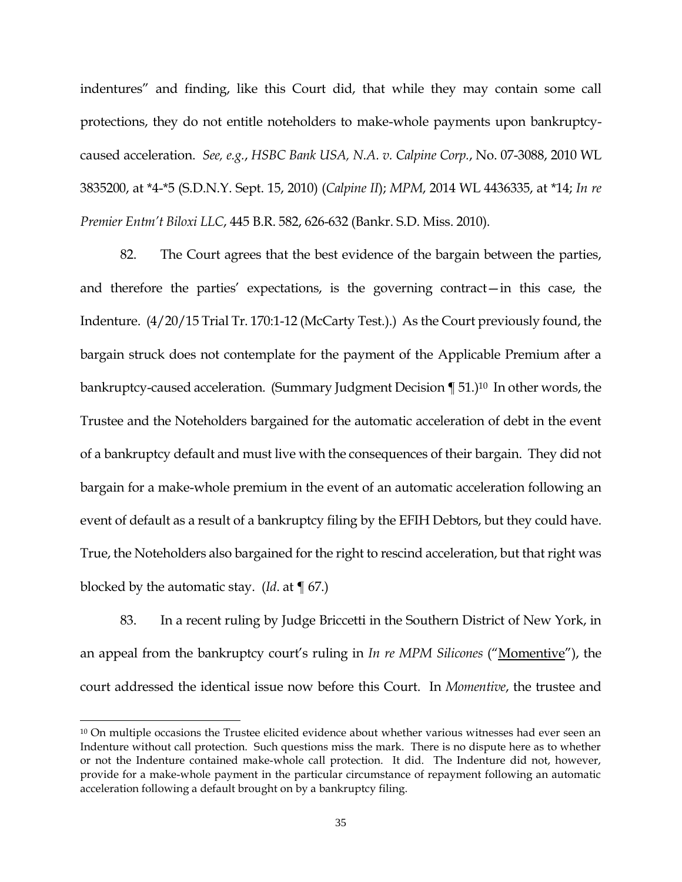indentures" and finding, like this Court did, that while they may contain some call protections, they do not entitle noteholders to make-whole payments upon bankruptcycaused acceleration. *See, e.g.*, *HSBC Bank USA, N.A. v. Calpine Corp.*, No. 07-3088, 2010 WL 3835200, at \*4-\*5 (S.D.N.Y. Sept. 15, 2010) (*Calpine II*); *MPM*, 2014 WL 4436335, at \*14; *In re Premier Entm't Biloxi LLC*, 445 B.R. 582, 626-632 (Bankr. S.D. Miss. 2010).

82. The Court agrees that the best evidence of the bargain between the parties, and therefore the parties' expectations, is the governing contract—in this case, the Indenture. (4/20/15 Trial Tr. 170:1-12 (McCarty Test.).) As the Court previously found, the bargain struck does not contemplate for the payment of the Applicable Premium after a bankruptcy-caused acceleration. (Summary Judgment Decision ¶ 51.)<sup>10</sup> In other words, the Trustee and the Noteholders bargained for the automatic acceleration of debt in the event of a bankruptcy default and must live with the consequences of their bargain. They did not bargain for a make-whole premium in the event of an automatic acceleration following an event of default as a result of a bankruptcy filing by the EFIH Debtors, but they could have. True, the Noteholders also bargained for the right to rescind acceleration, but that right was blocked by the automatic stay. (*Id*. at ¶ 67.)

83. In a recent ruling by Judge Briccetti in the Southern District of New York, in an appeal from the bankruptcy court's ruling in *In re MPM Silicones* ("Momentive"), the court addressed the identical issue now before this Court. In *Momentive*, the trustee and

l

<sup>&</sup>lt;sup>10</sup> On multiple occasions the Trustee elicited evidence about whether various witnesses had ever seen an Indenture without call protection. Such questions miss the mark. There is no dispute here as to whether or not the Indenture contained make-whole call protection. It did. The Indenture did not, however, provide for a make-whole payment in the particular circumstance of repayment following an automatic acceleration following a default brought on by a bankruptcy filing.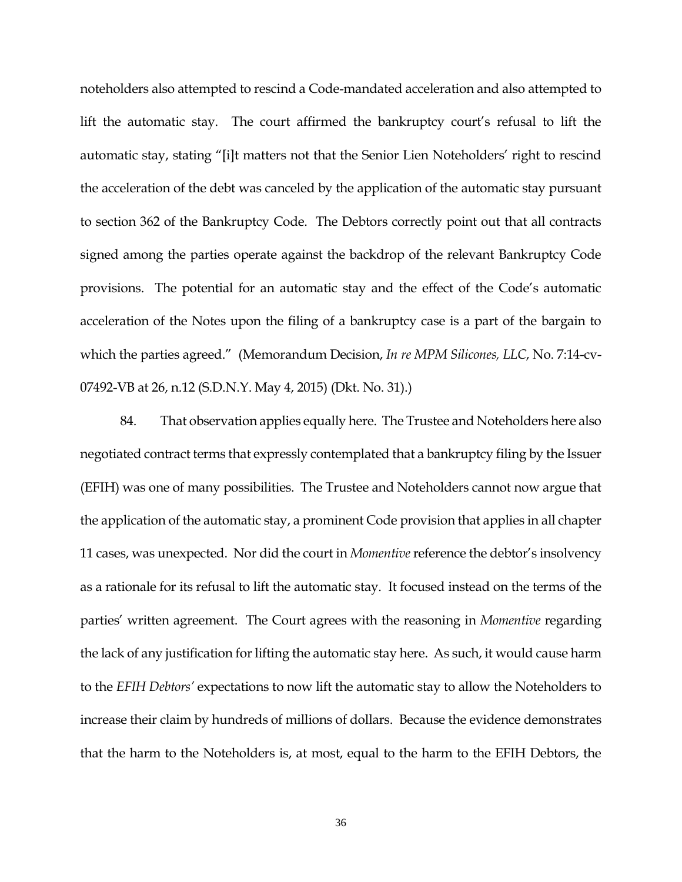noteholders also attempted to rescind a Code-mandated acceleration and also attempted to lift the automatic stay. The court affirmed the bankruptcy court's refusal to lift the automatic stay, stating "[i]t matters not that the Senior Lien Noteholders' right to rescind the acceleration of the debt was canceled by the application of the automatic stay pursuant to section 362 of the Bankruptcy Code. The Debtors correctly point out that all contracts signed among the parties operate against the backdrop of the relevant Bankruptcy Code provisions. The potential for an automatic stay and the effect of the Code's automatic acceleration of the Notes upon the filing of a bankruptcy case is a part of the bargain to which the parties agreed." (Memorandum Decision, *In re MPM Silicones, LLC*, No. 7:14-cv-07492-VB at 26, n.12 (S.D.N.Y. May 4, 2015) (Dkt. No. 31).)

84. That observation applies equally here. The Trustee and Noteholders here also negotiated contract terms that expressly contemplated that a bankruptcy filing by the Issuer (EFIH) was one of many possibilities. The Trustee and Noteholders cannot now argue that the application of the automatic stay, a prominent Code provision that applies in all chapter 11 cases, was unexpected. Nor did the court in *Momentive* reference the debtor's insolvency as a rationale for its refusal to lift the automatic stay. It focused instead on the terms of the parties' written agreement. The Court agrees with the reasoning in *Momentive* regarding the lack of any justification for lifting the automatic stay here. As such, it would cause harm to the *EFIH Debtors'* expectations to now lift the automatic stay to allow the Noteholders to increase their claim by hundreds of millions of dollars. Because the evidence demonstrates that the harm to the Noteholders is, at most, equal to the harm to the EFIH Debtors, the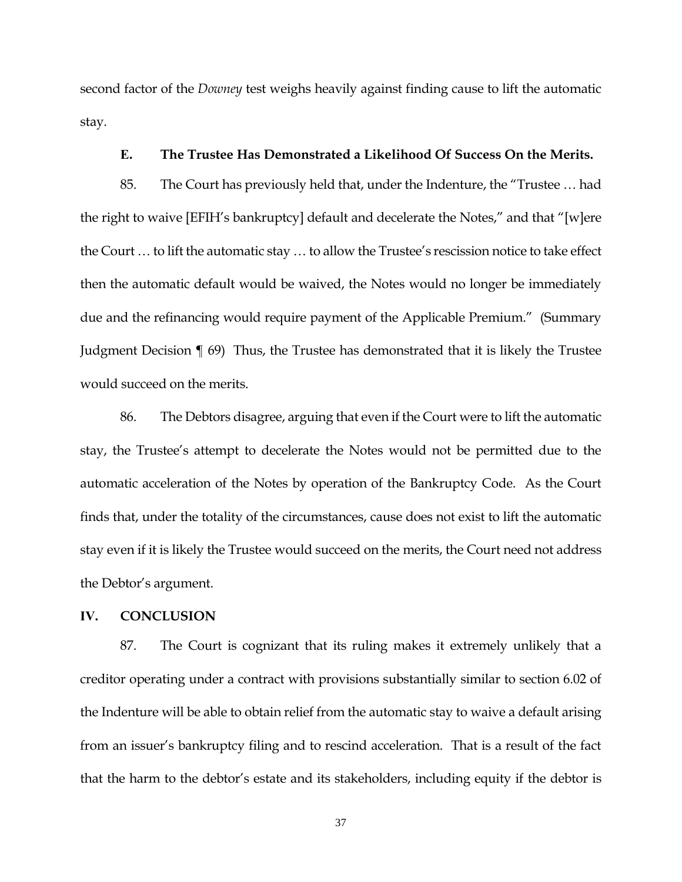second factor of the *Downey* test weighs heavily against finding cause to lift the automatic stay.

## **E. The Trustee Has Demonstrated a Likelihood Of Success On the Merits.**

85. The Court has previously held that, under the Indenture, the "Trustee … had the right to waive [EFIH's bankruptcy] default and decelerate the Notes," and that "[w]ere the Court … to lift the automatic stay … to allow the Trustee's rescission notice to take effect then the automatic default would be waived, the Notes would no longer be immediately due and the refinancing would require payment of the Applicable Premium." (Summary Judgment Decision ¶ 69) Thus, the Trustee has demonstrated that it is likely the Trustee would succeed on the merits.

86. The Debtors disagree, arguing that even if the Court were to lift the automatic stay, the Trustee's attempt to decelerate the Notes would not be permitted due to the automatic acceleration of the Notes by operation of the Bankruptcy Code. As the Court finds that, under the totality of the circumstances, cause does not exist to lift the automatic stay even if it is likely the Trustee would succeed on the merits, the Court need not address the Debtor's argument.

#### **IV. CONCLUSION**

87. The Court is cognizant that its ruling makes it extremely unlikely that a creditor operating under a contract with provisions substantially similar to section 6.02 of the Indenture will be able to obtain relief from the automatic stay to waive a default arising from an issuer's bankruptcy filing and to rescind acceleration. That is a result of the fact that the harm to the debtor's estate and its stakeholders, including equity if the debtor is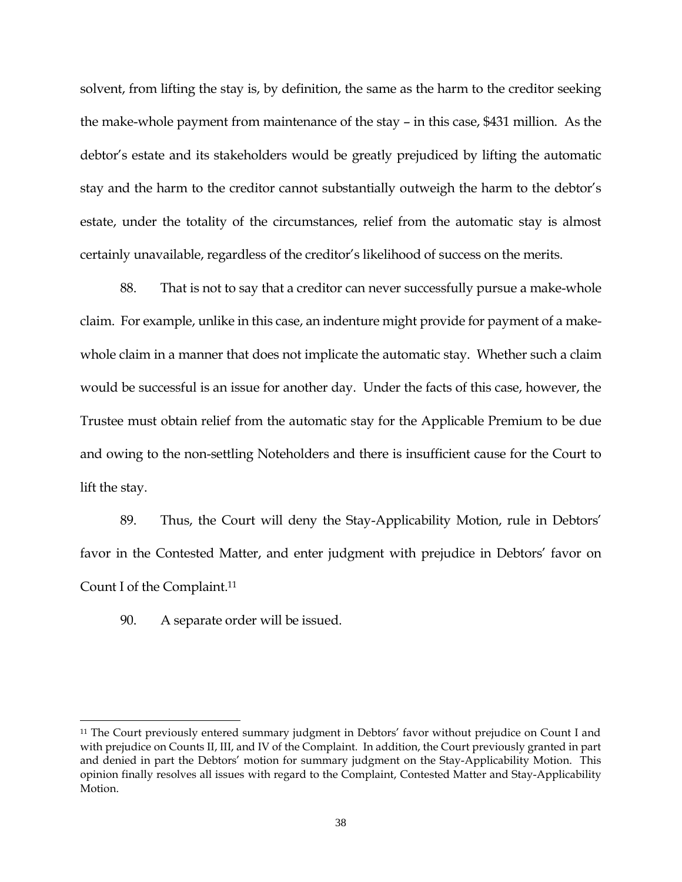solvent, from lifting the stay is, by definition, the same as the harm to the creditor seeking the make-whole payment from maintenance of the stay – in this case, \$431 million. As the debtor's estate and its stakeholders would be greatly prejudiced by lifting the automatic stay and the harm to the creditor cannot substantially outweigh the harm to the debtor's estate, under the totality of the circumstances, relief from the automatic stay is almost certainly unavailable, regardless of the creditor's likelihood of success on the merits.

88. That is not to say that a creditor can never successfully pursue a make-whole claim. For example, unlike in this case, an indenture might provide for payment of a makewhole claim in a manner that does not implicate the automatic stay. Whether such a claim would be successful is an issue for another day. Under the facts of this case, however, the Trustee must obtain relief from the automatic stay for the Applicable Premium to be due and owing to the non-settling Noteholders and there is insufficient cause for the Court to lift the stay.

89. Thus, the Court will deny the Stay-Applicability Motion, rule in Debtors' favor in the Contested Matter, and enter judgment with prejudice in Debtors' favor on Count I of the Complaint.<sup>11</sup>

90. A separate order will be issued.

l

<sup>&</sup>lt;sup>11</sup> The Court previously entered summary judgment in Debtors' favor without prejudice on Count I and with prejudice on Counts II, III, and IV of the Complaint. In addition, the Court previously granted in part and denied in part the Debtors' motion for summary judgment on the Stay-Applicability Motion. This opinion finally resolves all issues with regard to the Complaint, Contested Matter and Stay-Applicability Motion.